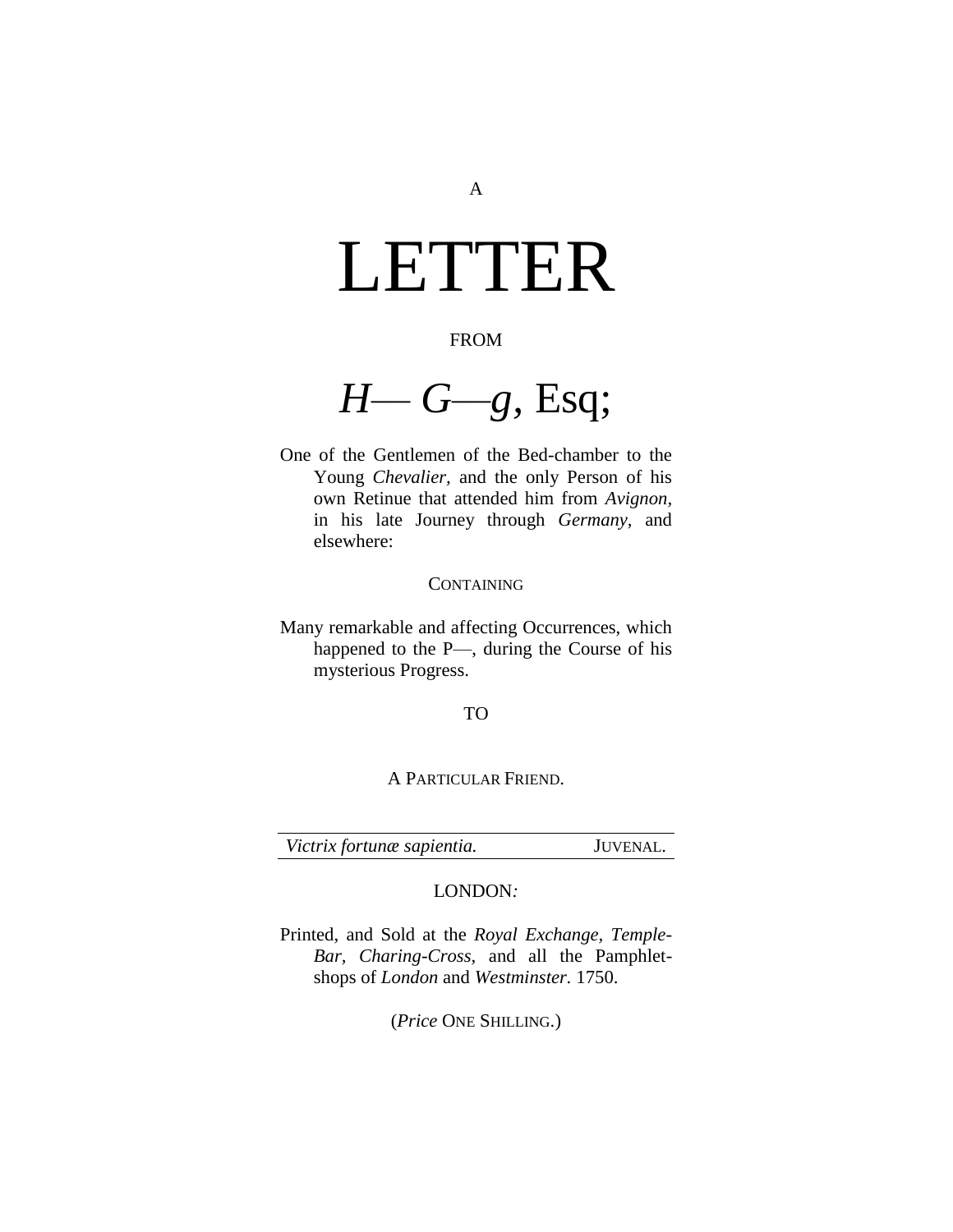# <span id="page-0-0"></span>LETTER

### FROM

*H— G—g,* Esq;

One of the Gentlemen of the Bed-chamber to the Young *Chevalier,* and the only Person of his own Retinue that attended him from *Avignon,*  in his late Journey through *Germany,* and elsewhere:

### **CONTAINING**

Many remarkable and affecting Occurrences, which happened to the P—, during the Course of his mysterious Progress.

### TO

A PARTICULAR FRIEND.

*[Victrix fortunæ sapientia.](#page-0-0)* JUVENAL.

### LONDON*:*

Printed, and Sold at the *Royal Exchange, Temple-Bar, Charing-Cross,* and all the Pamphletshops of *London* and *Westminster.* 1750.

(*Price* ONE SHILLING.)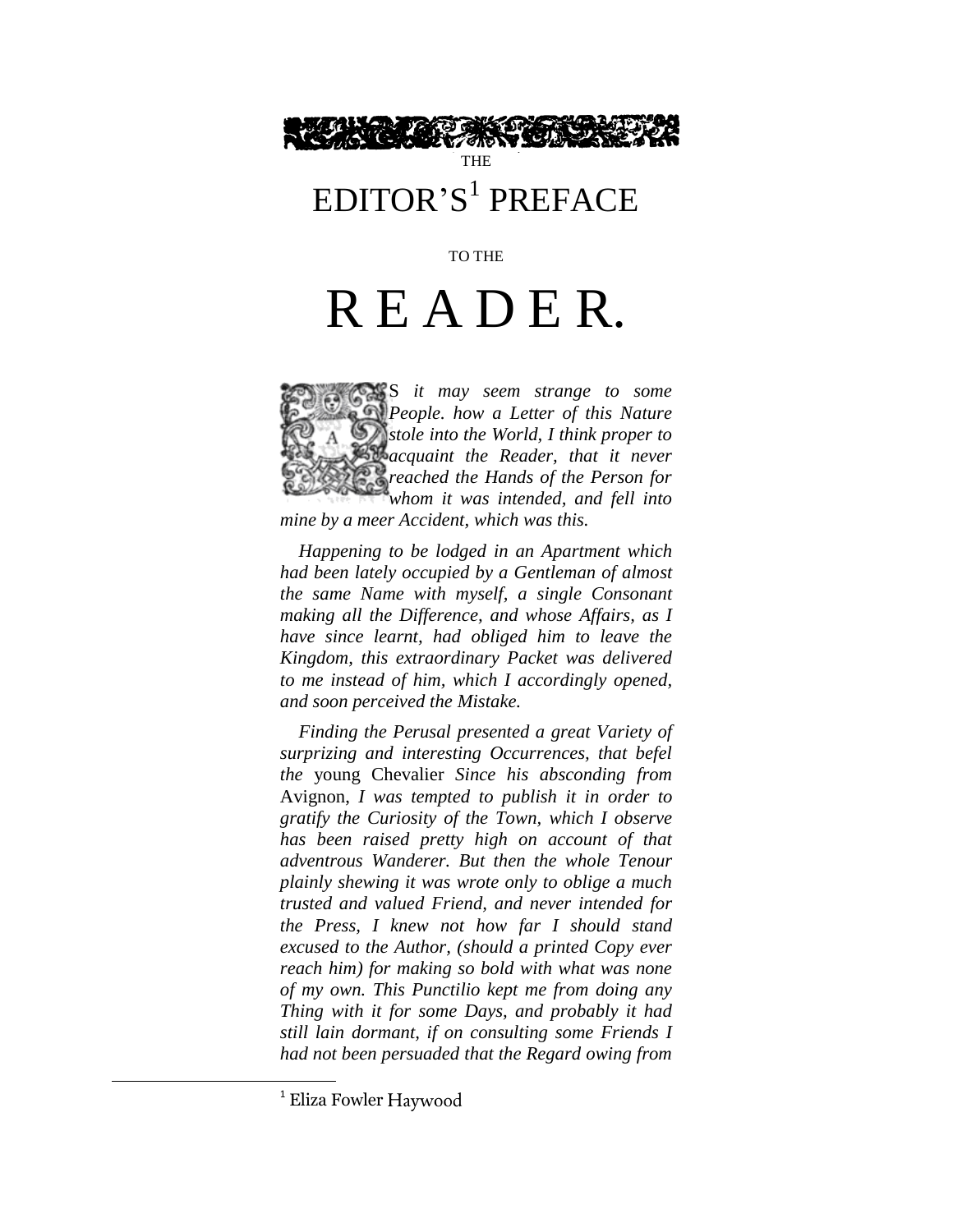

### EDITOR'S 1 PREFACE

TO THE

# R E A D E R.

S *it may seem strange to some People. how a Letter of this Nature stole into the World, I think proper to acquaint the Reader, that it never reached the Hands of the Person for whom it was intended, and fell into mine by a meer Accident, which was this.*

*Happening to be lodged in an Apartment which had been lately occupied by a Gentleman of almost the same Name with myself, a single Consonant making all the Difference, and whose Affairs, as I have since learnt, had obliged him to leave the Kingdom, this extraordinary Packet was delivered to me instead of him, which I accordingly opened, and soon perceived the Mistake.*

*Finding the Perusal presented a great Variety of surprizing and interesting Occurrences, that befel the* young Chevalier *Since his absconding from*  Avignon, *I was tempted to publish it in order to gratify the Curiosity of the Town, which I observe has been raised pretty high on account of that adventrous Wanderer. But then the whole Tenour plainly shewing it was wrote only to oblige a much trusted and valued Friend, and never intended for the Press, I knew not how far I should stand excused to the Author, (should a printed Copy ever reach him) for making so bold with what was none of my own. This Punctilio kept me from doing any Thing with it for some Days, and probably it had still lain dormant, if on consulting some Friends I had not been persuaded that the Regard owing from* 

 $\overline{a}$ 

<sup>&</sup>lt;sup>1</sup> Eliza Fowler Haywood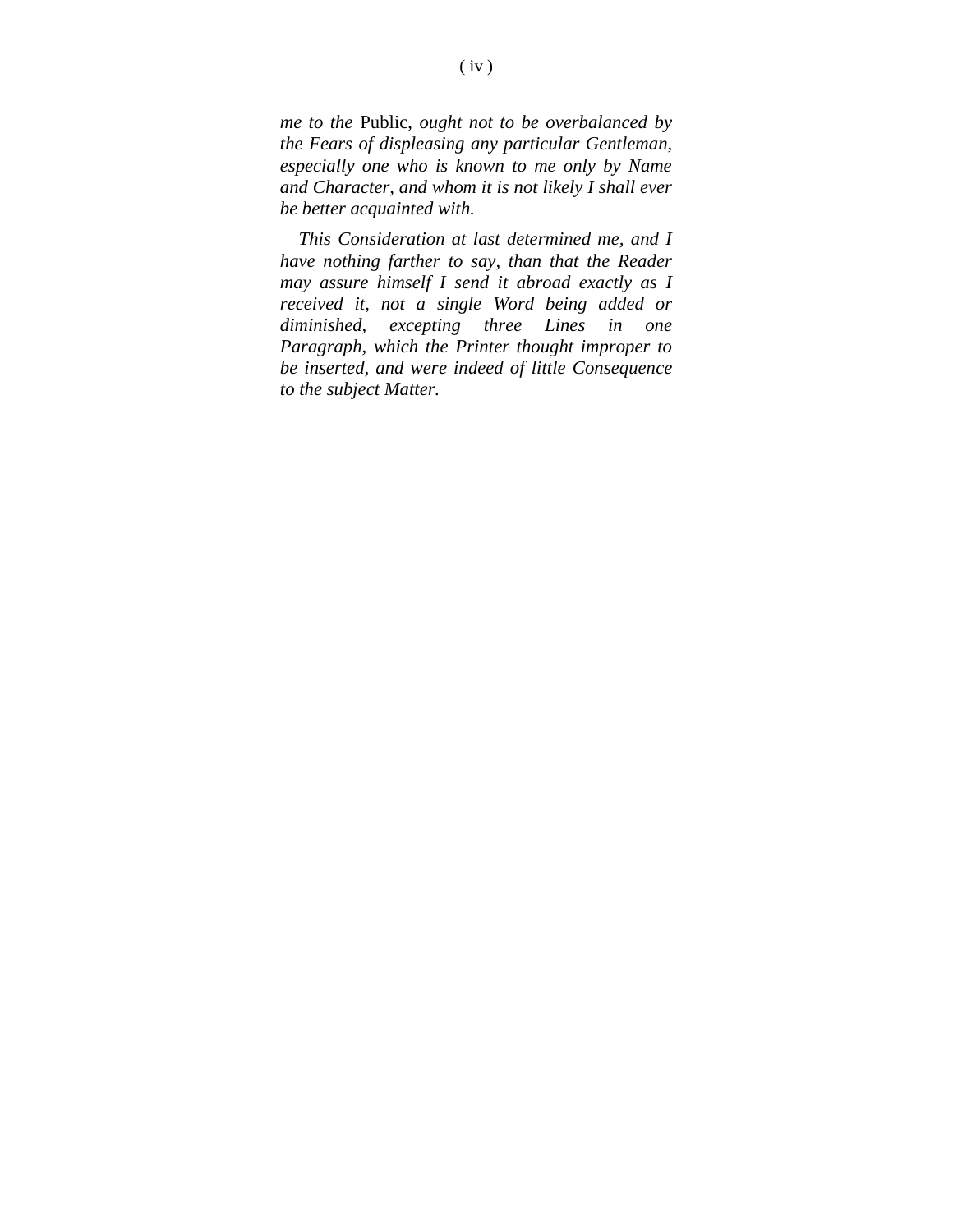*me to the* Public, *ought not to be overbalanced by the Fears of displeasing any particular Gentleman, especially one who is known to me only by Name and Character, and whom it is not likely I shall ever be better acquainted with.*

*This Consideration at last determined me, and I have nothing farther to say, than that the Reader may assure himself I send it abroad exactly as I received it, not a single Word being added or diminished, excepting three Lines in one Paragraph, which the Printer thought improper to be inserted, and were indeed of little Consequence to the subject Matter.*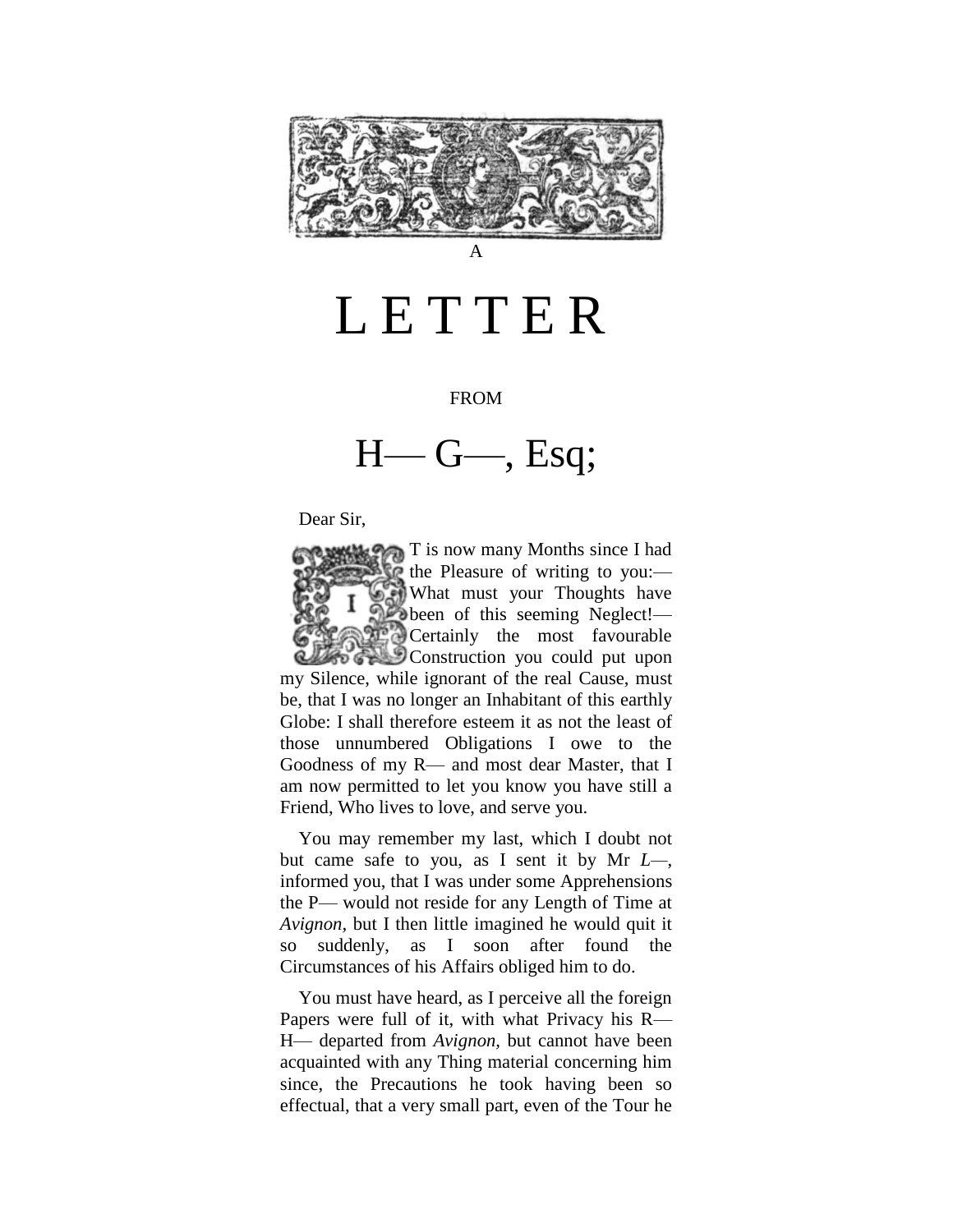

## LETTER

#### FROM

H— G—, Esq;

Dear Sir,



You may remember my last, which I doubt not but came safe to you, as I sent it by Mr *L—*, informed you, that I was under some Apprehensions the P— would not reside for any Length of Time at *Avignon,* but I then little imagined he would quit it so suddenly, as I soon after found the Circumstances of his Affairs obliged him to do.

You must have heard, as I perceive all the foreign Papers were full of it, with what Privacy his R— H— departed from *Avignon,* but cannot have been acquainted with any Thing material concerning him since, the Precautions he took having been so effectual, that a very small part, even of the Tour he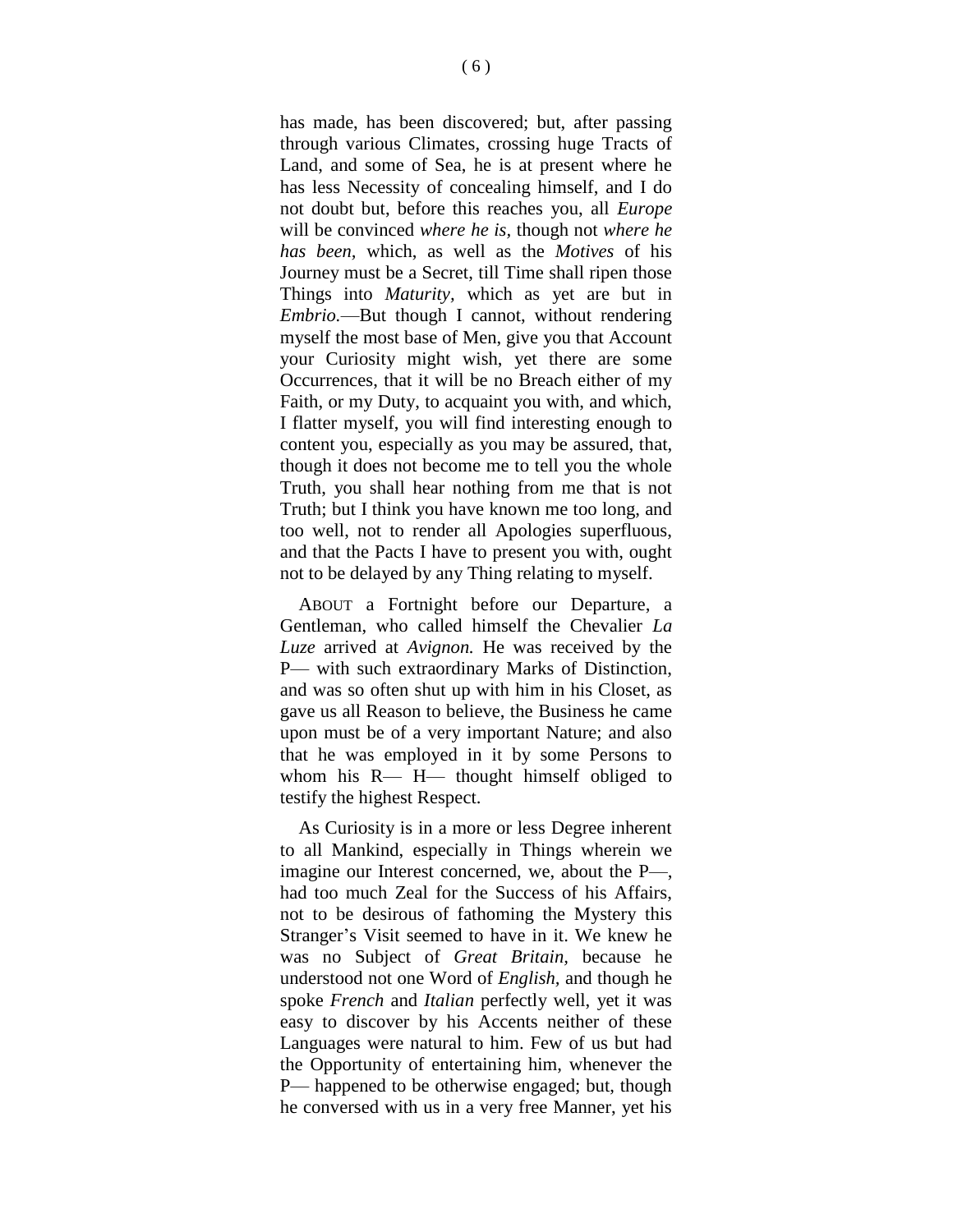has made, has been discovered; but, after passing through various Climates, crossing huge Tracts of Land, and some of Sea, he is at present where he has less Necessity of concealing himself, and I do not doubt but, before this reaches you, all *Europe*  will be convinced *where he is,* though not *where he has been,* which, as well as the *Motives* of his Journey must be a Secret, till Time shall ripen those Things into *Maturity,* which as yet are but in *Embrio.*—But though I cannot, without rendering myself the most base of Men, give you that Account your Curiosity might wish, yet there are some Occurrences, that it will be no Breach either of my Faith, or my Duty, to acquaint you with, and which, I flatter myself, you will find interesting enough to content you, especially as you may be assured, that, though it does not become me to tell you the whole Truth, you shall hear nothing from me that is not Truth; but I think you have known me too long, and too well, not to render all Apologies superfluous, and that the Pacts I have to present you with, ought not to be delayed by any Thing relating to myself.

ABOUT a Fortnight before our Departure, a Gentleman, who called himself the Chevalier *La Luze* arrived at *Avignon.* He was received by the P— with such extraordinary Marks of Distinction, and was so often shut up with him in his Closet, as gave us all Reason to believe, the Business he came upon must be of a very important Nature; and also that he was employed in it by some Persons to whom his R— H— thought himself obliged to testify the highest Respect.

As Curiosity is in a more or less Degree inherent to all Mankind, especially in Things wherein we imagine our Interest concerned, we, about the P—, had too much Zeal for the Success of his Affairs, not to be desirous of fathoming the Mystery this Stranger's Visit seemed to have in it. We knew he was no Subject of *Great Britain,* because he understood not one Word of *English,* and though he spoke *French* and *Italian* perfectly well, yet it was easy to discover by his Accents neither of these Languages were natural to him. Few of us but had the Opportunity of entertaining him, whenever the P— happened to be otherwise engaged; but, though he conversed with us in a very free Manner, yet his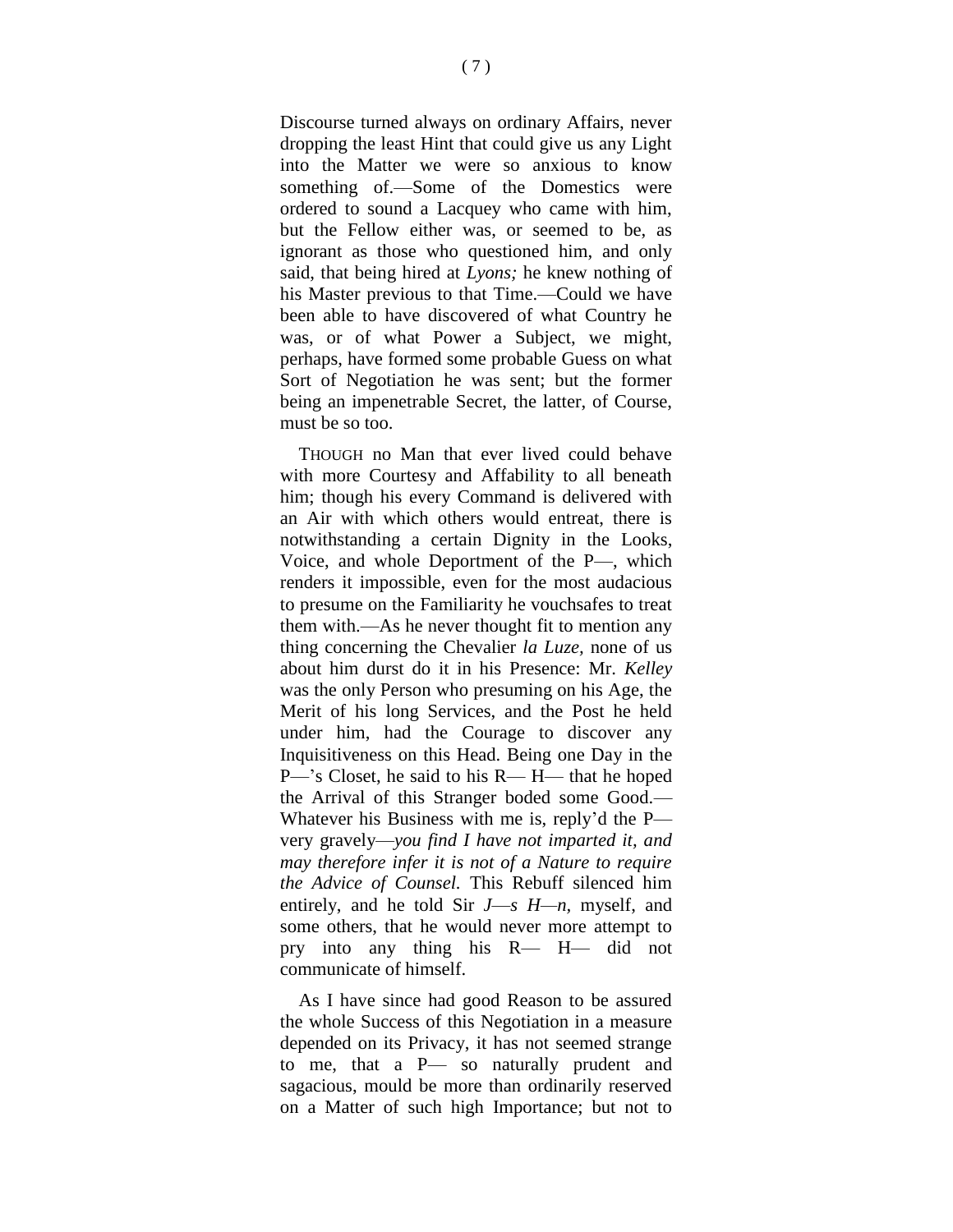Discourse turned always on ordinary Affairs, never dropping the least Hint that could give us any Light into the Matter we were so anxious to know something of.—Some of the Domestics were ordered to sound a Lacquey who came with him, but the Fellow either was, or seemed to be, as ignorant as those who questioned him, and only said, that being hired at *Lyons;* he knew nothing of his Master previous to that Time.—Could we have been able to have discovered of what Country he was, or of what Power a Subject, we might, perhaps, have formed some probable Guess on what Sort of Negotiation he was sent; but the former being an impenetrable Secret, the latter, of Course, must be so too.

THOUGH no Man that ever lived could behave with more Courtesy and Affability to all beneath him; though his every Command is delivered with an Air with which others would entreat, there is notwithstanding a certain Dignity in the Looks, Voice, and whole Deportment of the P—, which renders it impossible, even for the most audacious to presume on the Familiarity he vouchsafes to treat them with.—As he never thought fit to mention any thing concerning the Chevalier *la Luze,* none of us about him durst do it in his Presence: Mr. *Kelley*  was the only Person who presuming on his Age, the Merit of his long Services, and the Post he held under him, had the Courage to discover any Inquisitiveness on this Head. Being one Day in the P—'s Closet, he said to his R— H— that he hoped the Arrival of this Stranger boded some Good.— Whatever his Business with me is, reply'd the P very gravely—*you find I have not imparted it, and may therefore infer it is not of a Nature to require the Advice of Counsel.* This Rebuff silenced him entirely, and he told Sir *J*—*s H—n,* myself, and some others, that he would never more attempt to pry into any thing his R— H— did not communicate of himself.

As I have since had good Reason to be assured the whole Success of this Negotiation in a measure depended on its Privacy, it has not seemed strange to me, that a P— so naturally prudent and sagacious, mould be more than ordinarily reserved on a Matter of such high Importance; but not to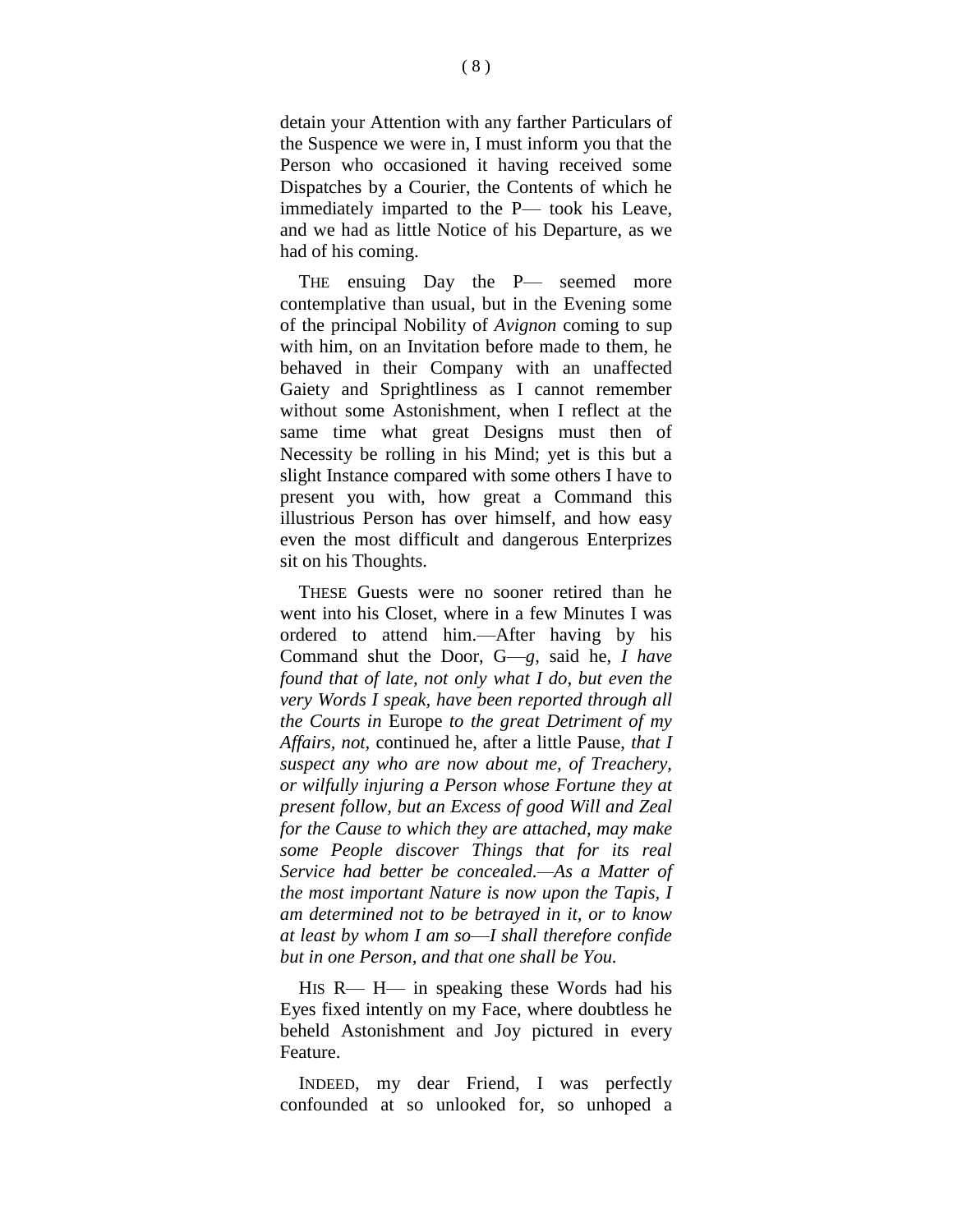detain your Attention with any farther Particulars of the Suspence we were in, I must inform you that the Person who occasioned it having received some Dispatches by a Courier, the Contents of which he immediately imparted to the P— took his Leave, and we had as little Notice of his Departure, as we had of his coming.

THE ensuing Day the P— seemed more contemplative than usual, but in the Evening some of the principal Nobility of *Avignon* coming to sup with him, on an Invitation before made to them, he behaved in their Company with an unaffected Gaiety and Sprightliness as I cannot remember without some Astonishment, when I reflect at the same time what great Designs must then of Necessity be rolling in his Mind; yet is this but a slight Instance compared with some others I have to present you with, how great a Command this illustrious Person has over himself, and how easy even the most difficult and dangerous Enterprizes sit on his Thoughts.

THESE Guests were no sooner retired than he went into his Closet, where in a few Minutes I was ordered to attend him.—After having by his Command shut the Door, G—*g*, said he, *I have found that of late, not only what I do, but even the very Words I speak, have been reported through all the Courts in* Europe *to the great Detriment of my Affairs, not,* continued he, after a little Pause, *that I suspect any who are now about me, of Treachery, or wilfully injuring a Person whose Fortune they at present follow, but an Excess of good Will and Zeal for the Cause to which they are attached, may make some People discover Things that for its real Service had better be concealed.—As a Matter of the most important Nature is now upon the Tapis, I am determined not to be betrayed in it, or to know at least by whom I am so*—*I shall therefore confide but in one Person, and that one shall be You.*

HIS R— H— in speaking these Words had his Eyes fixed intently on my Face, where doubtless he beheld Astonishment and Joy pictured in every Feature.

INDEED, my dear Friend, I was perfectly confounded at so unlooked for, so unhoped a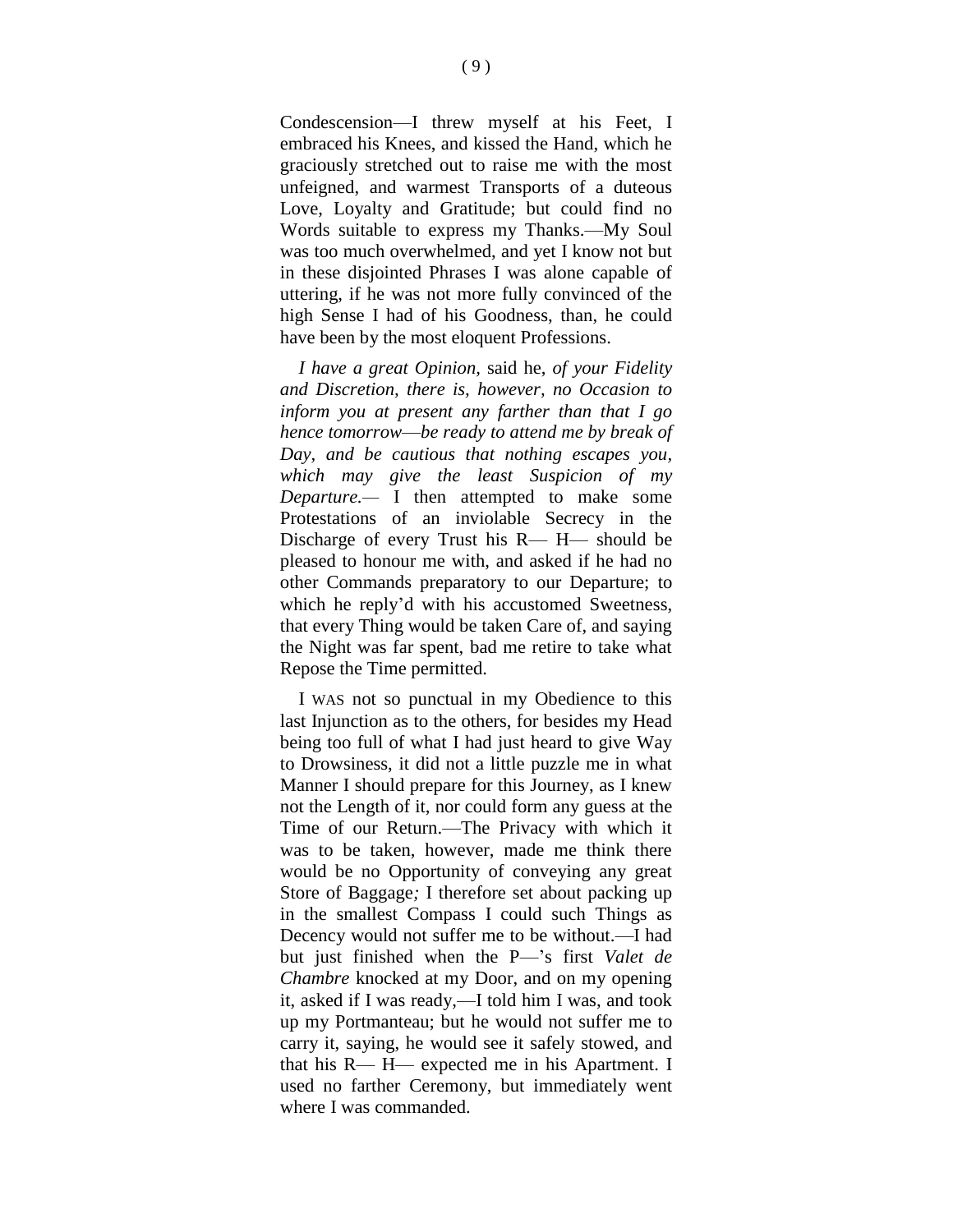Condescension—I threw myself at his Feet, I embraced his Knees, and kissed the Hand, which he graciously stretched out to raise me with the most unfeigned, and warmest Transports of a duteous Love, Loyalty and Gratitude; but could find no Words suitable to express my Thanks.—My Soul was too much overwhelmed, and yet I know not but in these disjointed Phrases I was alone capable of uttering, if he was not more fully convinced of the high Sense I had of his Goodness, than, he could have been by the most eloquent Professions.

*I have a great Opinion,* said he, *of your Fidelity and Discretion, there is, however, no Occasion to inform you at present any farther than that I go hence tomorrow*—*be ready to attend me by break of Day, and be cautious that nothing escapes you, which may give the least Suspicion of my Departure.—* I then attempted to make some Protestations of an inviolable Secrecy in the Discharge of every Trust his R— H— should be pleased to honour me with, and asked if he had no other Commands preparatory to our Departure; to which he reply'd with his accustomed Sweetness, that every Thing would be taken Care of, and saying the Night was far spent, bad me retire to take what Repose the Time permitted.

I WAS not so punctual in my Obedience to this last Injunction as to the others, for besides my Head being too full of what I had just heard to give Way to Drowsiness, it did not a little puzzle me in what Manner I should prepare for this Journey, as I knew not the Length of it, nor could form any guess at the Time of our Return.—The Privacy with which it was to be taken, however, made me think there would be no Opportunity of conveying any great Store of Baggage*;* I therefore set about packing up in the smallest Compass I could such Things as Decency would not suffer me to be without.—I had but just finished when the P—'s first *Valet de Chambre* knocked at my Door, and on my opening it, asked if I was ready,—I told him I was, and took up my Portmanteau; but he would not suffer me to carry it, saying, he would see it safely stowed, and that his R— H— expected me in his Apartment. I used no farther Ceremony, but immediately went where I was commanded.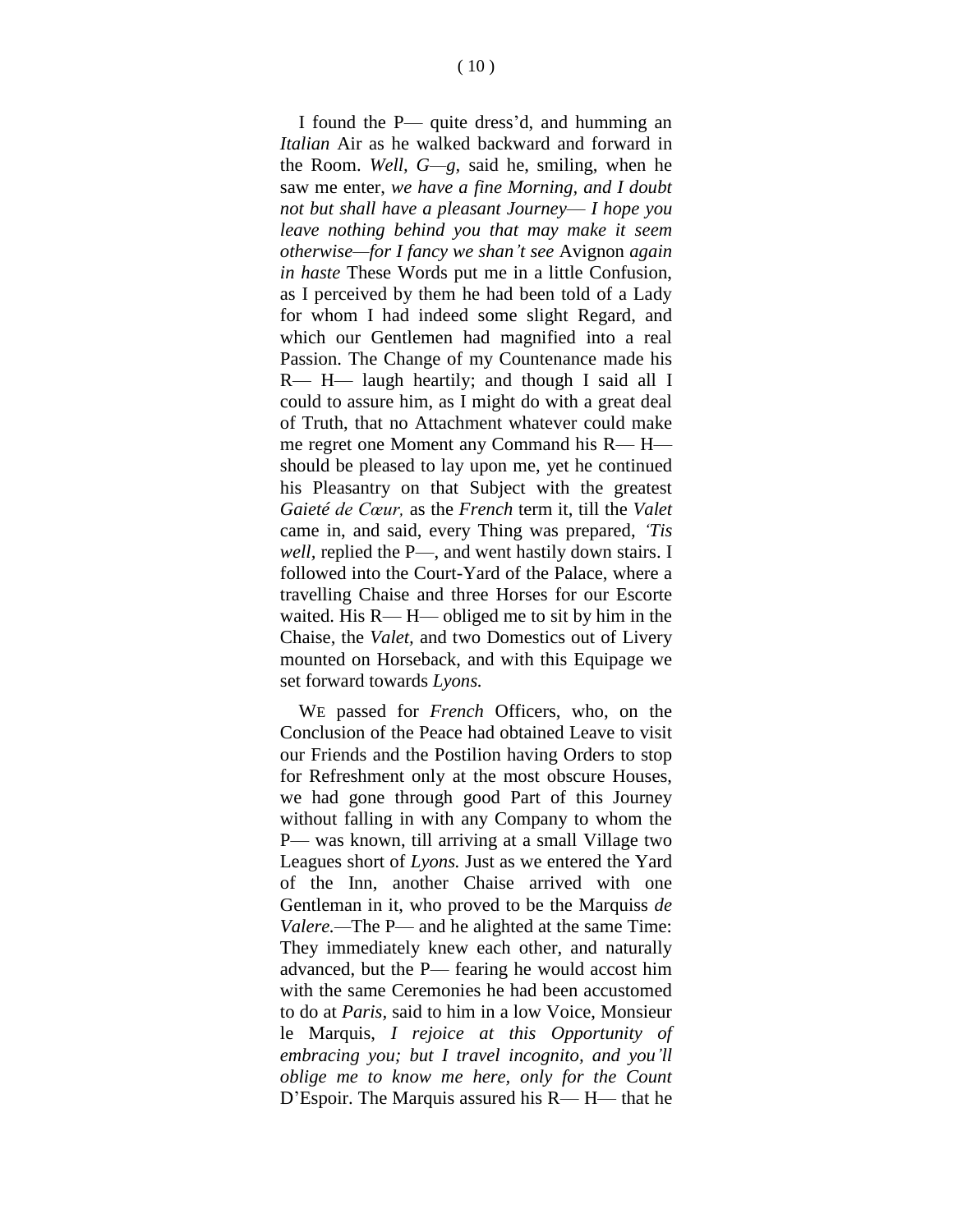I found the P— quite dress'd, and humming an *Italian* Air as he walked backward and forward in the Room. *Well, G—g,* said he, smiling, when he saw me enter, *we have a fine Morning, and I doubt not but shall have a pleasant Journey*— *I hope you leave nothing behind you that may make it seem otherwise—for I fancy we shan't see* Avignon *again in haste* These Words put me in a little Confusion, as I perceived by them he had been told of a Lady for whom I had indeed some slight Regard, and which our Gentlemen had magnified into a real Passion. The Change of my Countenance made his R— H— laugh heartily; and though I said all I could to assure him, as I might do with a great deal of Truth, that no Attachment whatever could make me regret one Moment any Command his R— H should be pleased to lay upon me, yet he continued his Pleasantry on that Subject with the greatest *Gaieté de Cœur,* as the *French* term it, till the *Valet*  came in, and said, every Thing was prepared, *'Tis well,* replied the P—, and went hastily down stairs. I followed into the Court-Yard of the Palace, where a travelling Chaise and three Horses for our Escorte waited. His R— H— obliged me to sit by him in the Chaise, the *Valet,* and two Domestics out of Livery mounted on Horseback, and with this Equipage we set forward towards *Lyons.*

WE passed for *French* Officers, who, on the Conclusion of the Peace had obtained Leave to visit our Friends and the Postilion having Orders to stop for Refreshment only at the most obscure Houses, we had gone through good Part of this Journey without falling in with any Company to whom the P— was known, till arriving at a small Village two Leagues short of *Lyons.* Just as we entered the Yard of the Inn, another Chaise arrived with one Gentleman in it, who proved to be the Marquiss *de Valere.—*The P— and he alighted at the same Time: They immediately knew each other, and naturally advanced, but the P— fearing he would accost him with the same Ceremonies he had been accustomed to do at *Paris,* said to him in a low Voice, Monsieur le Marquis, *I rejoice at this Opportunity of embracing you; but I travel incognito, and you'll oblige me to know me here, only for the Count* D'Espoir. The Marquis assured his R— H— that he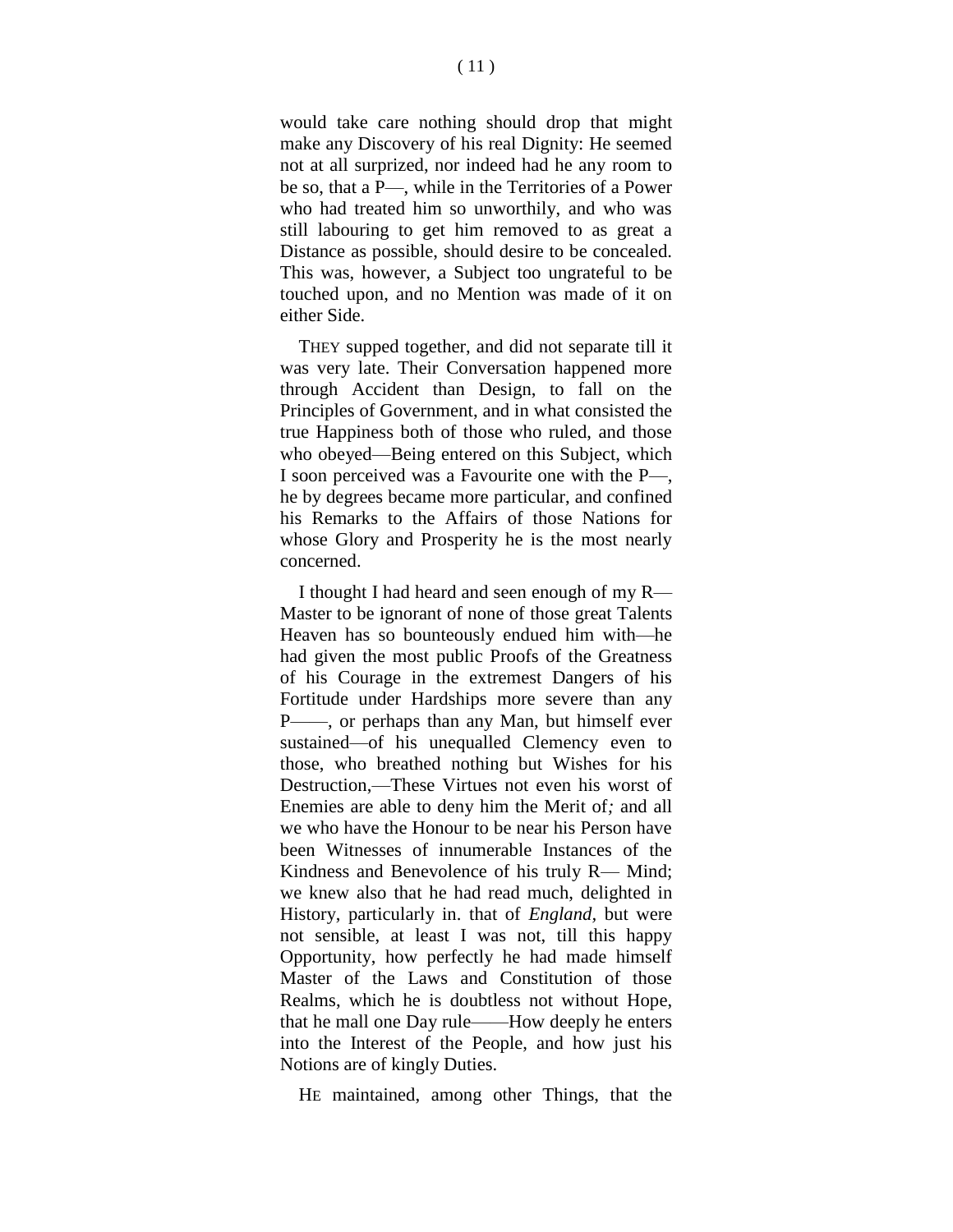would take care nothing should drop that might make any Discovery of his real Dignity: He seemed not at all surprized, nor indeed had he any room to be so, that a P—, while in the Territories of a Power who had treated him so unworthily, and who was still labouring to get him removed to as great a Distance as possible, should desire to be concealed. This was, however, a Subject too ungrateful to be touched upon, and no Mention was made of it on either Side.

THEY supped together, and did not separate till it was very late. Their Conversation happened more through Accident than Design, to fall on the Principles of Government, and in what consisted the true Happiness both of those who ruled, and those who obeyed—Being entered on this Subject, which I soon perceived was a Favourite one with the P—, he by degrees became more particular, and confined his Remarks to the Affairs of those Nations for whose Glory and Prosperity he is the most nearly concerned.

I thought I had heard and seen enough of my R— Master to be ignorant of none of those great Talents Heaven has so bounteously endued him with—he had given the most public Proofs of the Greatness of his Courage in the extremest Dangers of his Fortitude under Hardships more severe than any P——, or perhaps than any Man, but himself ever sustained—of his unequalled Clemency even to those, who breathed nothing but Wishes for his Destruction,—These Virtues not even his worst of Enemies are able to deny him the Merit of*;* and all we who have the Honour to be near his Person have been Witnesses of innumerable Instances of the Kindness and Benevolence of his truly R— Mind; we knew also that he had read much, delighted in History, particularly in. that of *England,* but were not sensible, at least I was not, till this happy Opportunity, how perfectly he had made himself Master of the Laws and Constitution of those Realms, which he is doubtless not without Hope, that he mall one Day rule——How deeply he enters into the Interest of the People, and how just his Notions are of kingly Duties.

HE maintained, among other Things, that the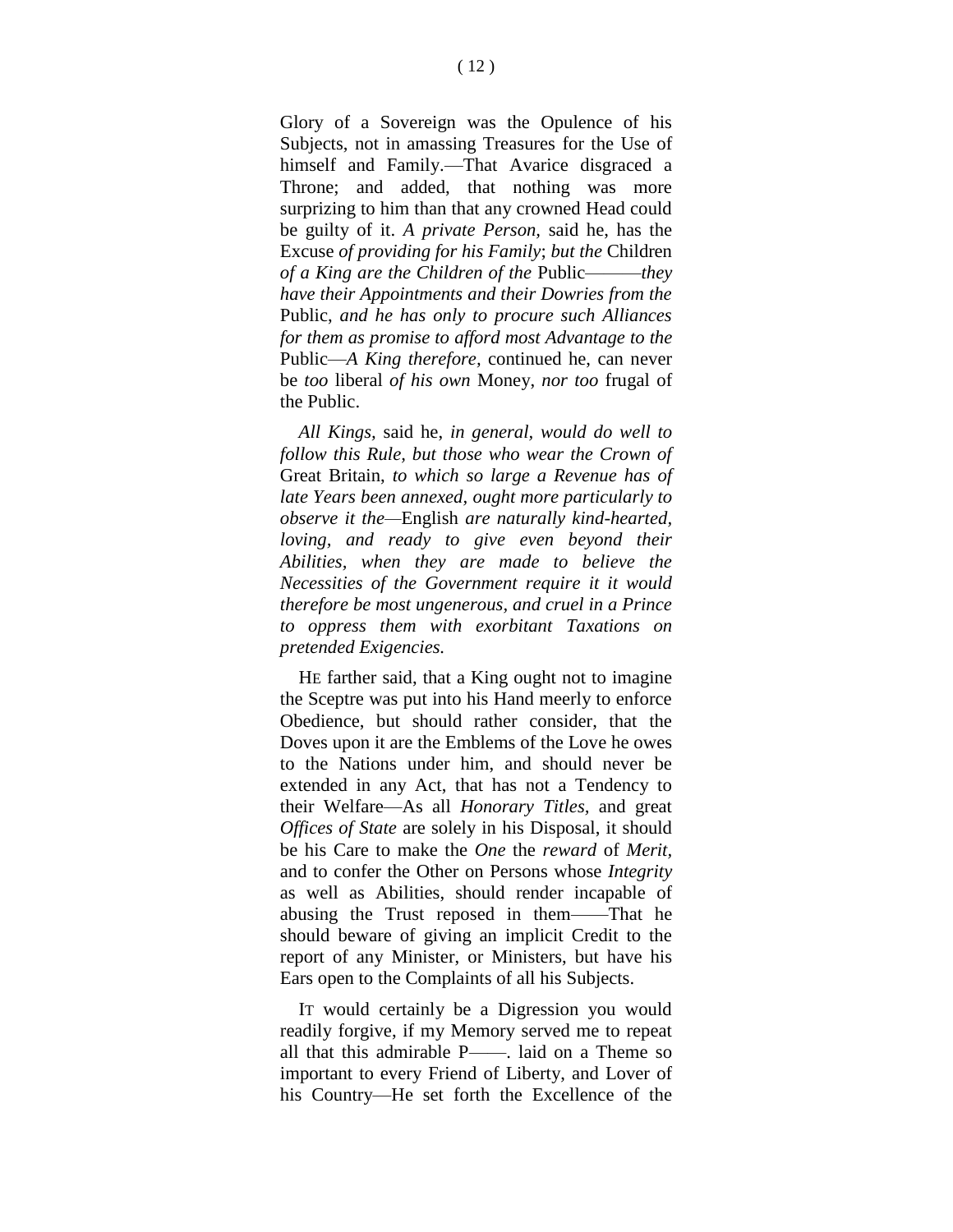Glory of a Sovereign was the Opulence of his Subjects, not in amassing Treasures for the Use of himself and Family.—That Avarice disgraced a Throne; and added, that nothing was more surprizing to him than that any crowned Head could be guilty of it. *A private Person,* said he, has the Excuse *of providing for his Family*; *but the* Children *of a King are the Children of the* Public———*they have their Appointments and their Dowries from the*  Public, *and he has only to procure such Alliances for them as promise to afford most Advantage to the*  Public—*A King therefore,* continued he, can never be *too* liberal *of his own* Money, *nor too* frugal of the Public.

*All Kings,* said he, *in general, would do well to follow this Rule, but those who wear the Crown of*  Great Britain, *to which so large a Revenue has of late Years been annexed, ought more particularly to observe it the—*English *are naturally kind-hearted, loving, and ready to give even beyond their Abilities, when they are made to believe the Necessities of the Government require it it would therefore be most ungenerous, and cruel in a Prince to oppress them with exorbitant Taxations on pretended Exigencies.*

HE farther said, that a King ought not to imagine the Sceptre was put into his Hand meerly to enforce Obedience, but should rather consider, that the Doves upon it are the Emblems of the Love he owes to the Nations under him, and should never be extended in any Act, that has not a Tendency to their Welfare—As all *Honorary Titles,* and great *Offices of State* are solely in his Disposal, it should be his Care to make the *One* the *reward* of *Merit,*  and to confer the Other on Persons whose *Integrity*  as well as Abilities, should render incapable of abusing the Trust reposed in them——That he should beware of giving an implicit Credit to the report of any Minister, or Ministers, but have his Ears open to the Complaints of all his Subjects.

IT would certainly be a Digression you would readily forgive, if my Memory served me to repeat all that this admirable P——. laid on a Theme so important to every Friend of Liberty, and Lover of his Country—He set forth the Excellence of the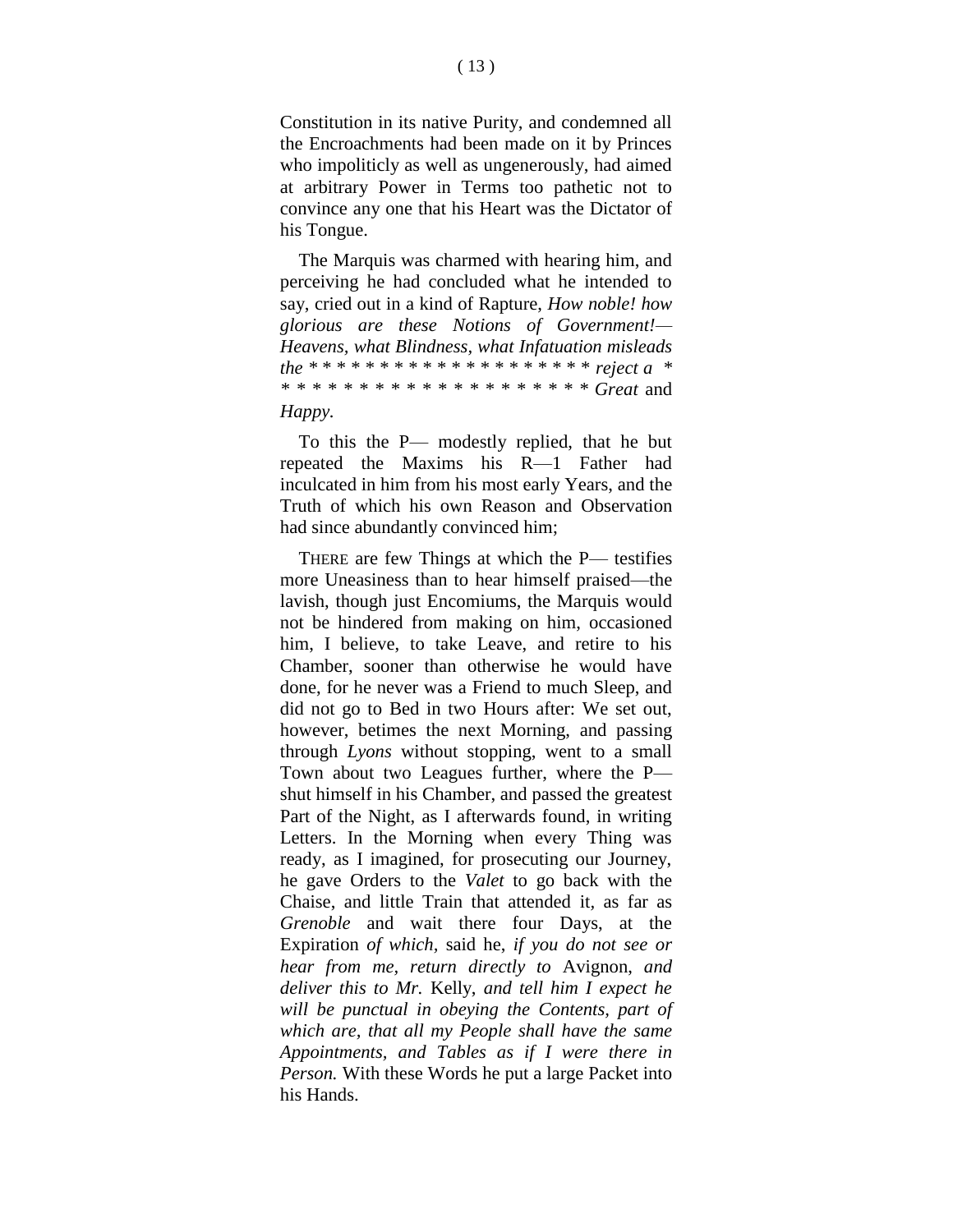Constitution in its native Purity, and condemned all the Encroachments had been made on it by Princes who impoliticly as well as ungenerously, had aimed at arbitrary Power in Terms too pathetic not to convince any one that his Heart was the Dictator of his Tongue.

The Marquis was charmed with hearing him, and perceiving he had concluded what he intended to say, cried out in a kind of Rapture, *How noble! how glorious are these Notions of Government!— Heavens, what Blindness, what Infatuation misleads the \** \* \* \* \* \* \* \* \* \* \* \* \* \* \* \* \* \* \* \* *reject a \* \* \* \* \* \* \* \* \* \* \* \* \* \* \* \* \* \* \* \* \* Great* and *Happy.*

To this the P— modestly replied, that he but repeated the Maxims his R—1 Father had inculcated in him from his most early Years, and the Truth of which his own Reason and Observation had since abundantly convinced him;

THERE are few Things at which the P— testifies more Uneasiness than to hear himself praised—the lavish, though just Encomiums, the Marquis would not be hindered from making on him, occasioned him, I believe, to take Leave, and retire to his Chamber, sooner than otherwise he would have done, for he never was a Friend to much Sleep, and did not go to Bed in two Hours after: We set out, however, betimes the next Morning, and passing through *Lyons* without stopping, went to a small Town about two Leagues further, where the P shut himself in his Chamber, and passed the greatest Part of the Night, as I afterwards found, in writing Letters. In the Morning when every Thing was ready, as I imagined, for prosecuting our Journey, he gave Orders to the *Valet* to go back with the Chaise, and little Train that attended it*,* as far as *Grenoble* and wait there four Days, at the Expiration *of which,* said he, *if you do not see or hear from me, return directly to* Avignon, *and deliver this to Mr.* Kelly, *and tell him I expect he will be punctual in obeying the Contents, part of which are, that all my People shall have the same Appointments, and Tables as if I were there in Person.* With these Words he put a large Packet into his Hands.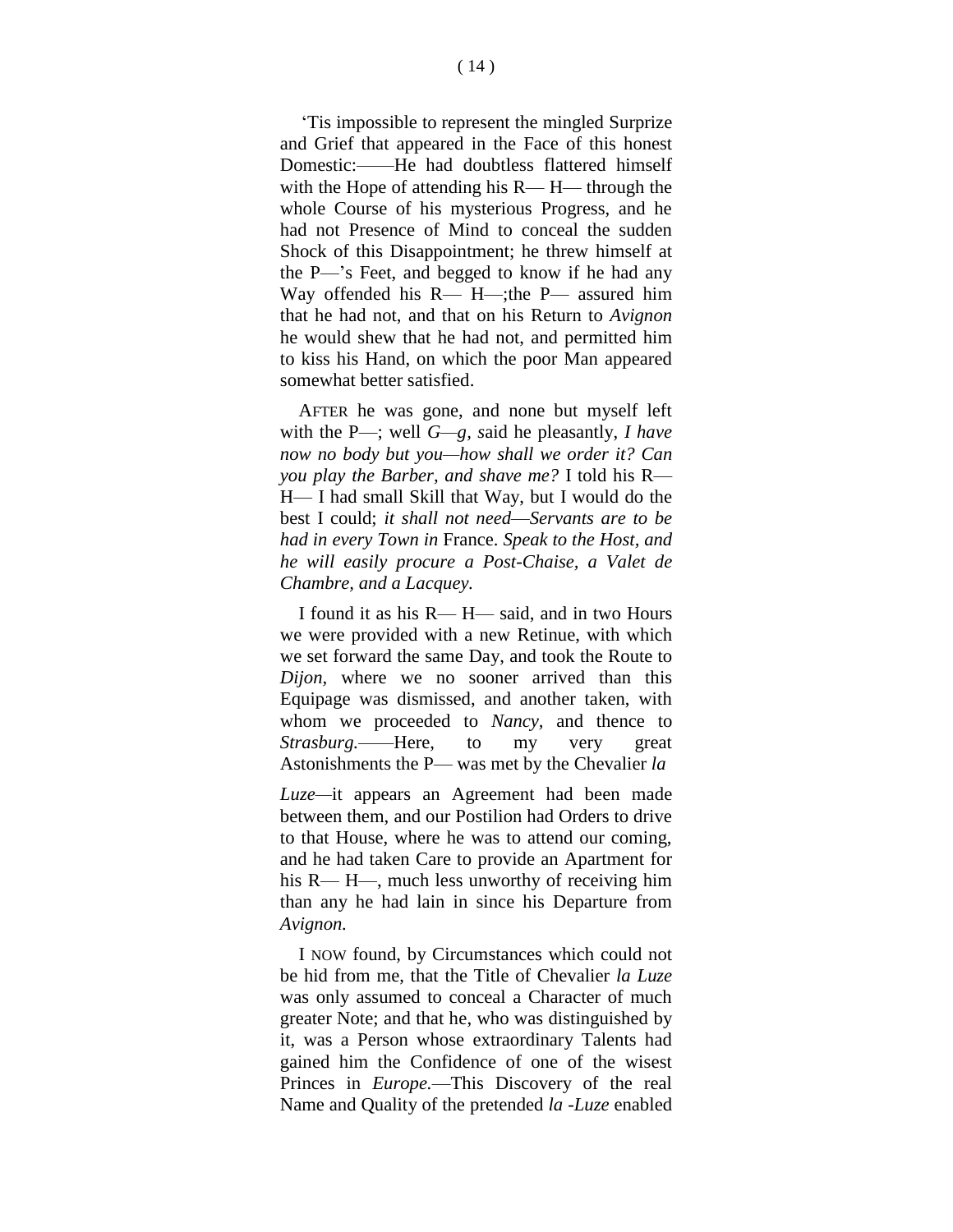'Tis impossible to represent the mingled Surprize and Grief that appeared in the Face of this honest Domestic:——He had doubtless flattered himself with the Hope of attending his R— H— through the whole Course of his mysterious Progress, and he had not Presence of Mind to conceal the sudden Shock of this Disappointment; he threw himself at the P—'s Feet, and begged to know if he had any Way offended his R— H—;the P— assured him that he had not, and that on his Return to *Avignon*  he would shew that he had not, and permitted him to kiss his Hand, on which the poor Man appeared somewhat better satisfied.

AFTER he was gone, and none but myself left with the P—; well *G—g, s*aid he pleasantly, *I have now no body but you—how shall we order it? Can you play the Barber, and shave me?* I told his R— H— I had small Skill that Way, but I would do the best I could; *it shall not need*—*Servants are to be had in every Town in* France. *Speak to the Host, and he will easily procure a Post-Chaise, a Valet de Chambre, and a Lacquey.*

I found it as his R— H— said, and in two Hours we were provided with a new Retinue, with which we set forward the same Day, and took the Route to *Dijon,* where we no sooner arrived than this Equipage was dismissed, and another taken, with whom we proceeded to *Nancy,* and thence to *Strasburg.—*—Here, to my very great Astonishments the P— was met by the Chevalier *la*

*Luze—*it appears an Agreement had been made between them, and our Postilion had Orders to drive to that House, where he was to attend our coming, and he had taken Care to provide an Apartment for his R— H—, much less unworthy of receiving him than any he had lain in since his Departure from *Avignon.*

I NOW found, by Circumstances which could not be hid from me, that the Title of Chevalier *la Luze*  was only assumed to conceal a Character of much greater Note; and that he, who was distinguished by it, was a Person whose extraordinary Talents had gained him the Confidence of one of the wisest Princes in *Europe.*—This Discovery of the real Name and Quality of the pretended *la -Luze* enabled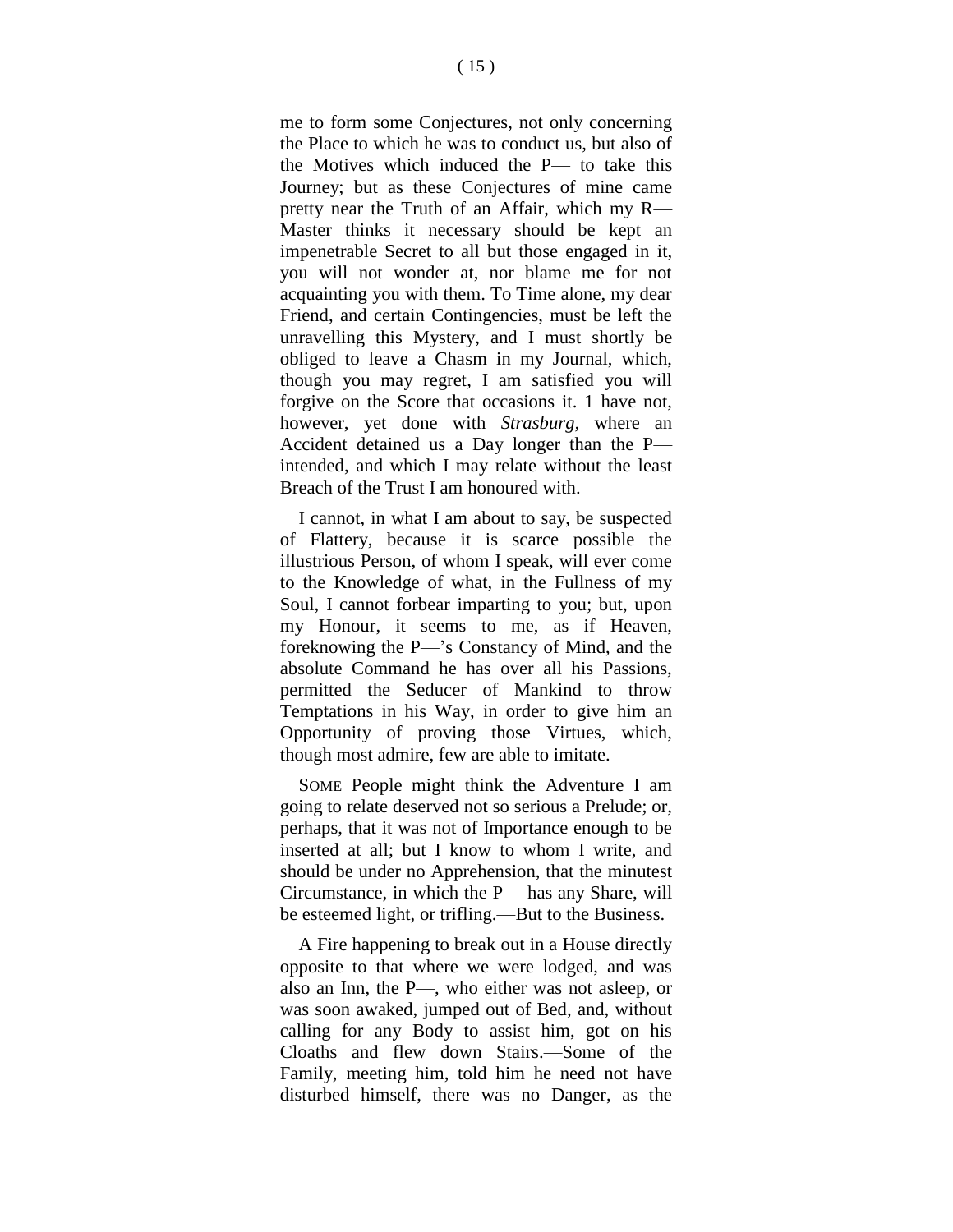me to form some Conjectures, not only concerning the Place to which he was to conduct us, but also of the Motives which induced the P— to take this Journey; but as these Conjectures of mine came pretty near the Truth of an Affair, which my R— Master thinks it necessary should be kept an impenetrable Secret to all but those engaged in it, you will not wonder at, nor blame me for not acquainting you with them. To Time alone, my dear Friend, and certain Contingencies, must be left the unravelling this Mystery, and I must shortly be obliged to leave a Chasm in my Journal, which, though you may regret, I am satisfied you will forgive on the Score that occasions it. 1 have not, however, yet done with *Strasburg,* where an Accident detained us a Day longer than the P intended, and which I may relate without the least Breach of the Trust I am honoured with.

I cannot, in what I am about to say, be suspected of Flattery, because it is scarce possible the illustrious Person, of whom I speak, will ever come to the Knowledge of what, in the Fullness of my Soul, I cannot forbear imparting to you; but, upon my Honour, it seems to me, as if Heaven, foreknowing the P—'s Constancy of Mind, and the absolute Command he has over all his Passions, permitted the Seducer of Mankind to throw Temptations in his Way, in order to give him an Opportunity of proving those Virtues, which, though most admire, few are able to imitate.

SOME People might think the Adventure I am going to relate deserved not so serious a Prelude; or, perhaps, that it was not of Importance enough to be inserted at all; but I know to whom I write, and should be under no Apprehension, that the minutest Circumstance, in which the P— has any Share, will be esteemed light, or trifling.—But to the Business.

A Fire happening to break out in a House directly opposite to that where we were lodged, and was also an Inn, the P—, who either was not asleep, or was soon awaked, jumped out of Bed, and, without calling for any Body to assist him, got on his Cloaths and flew down Stairs.—Some of the Family, meeting him, told him he need not have disturbed himself, there was no Danger, as the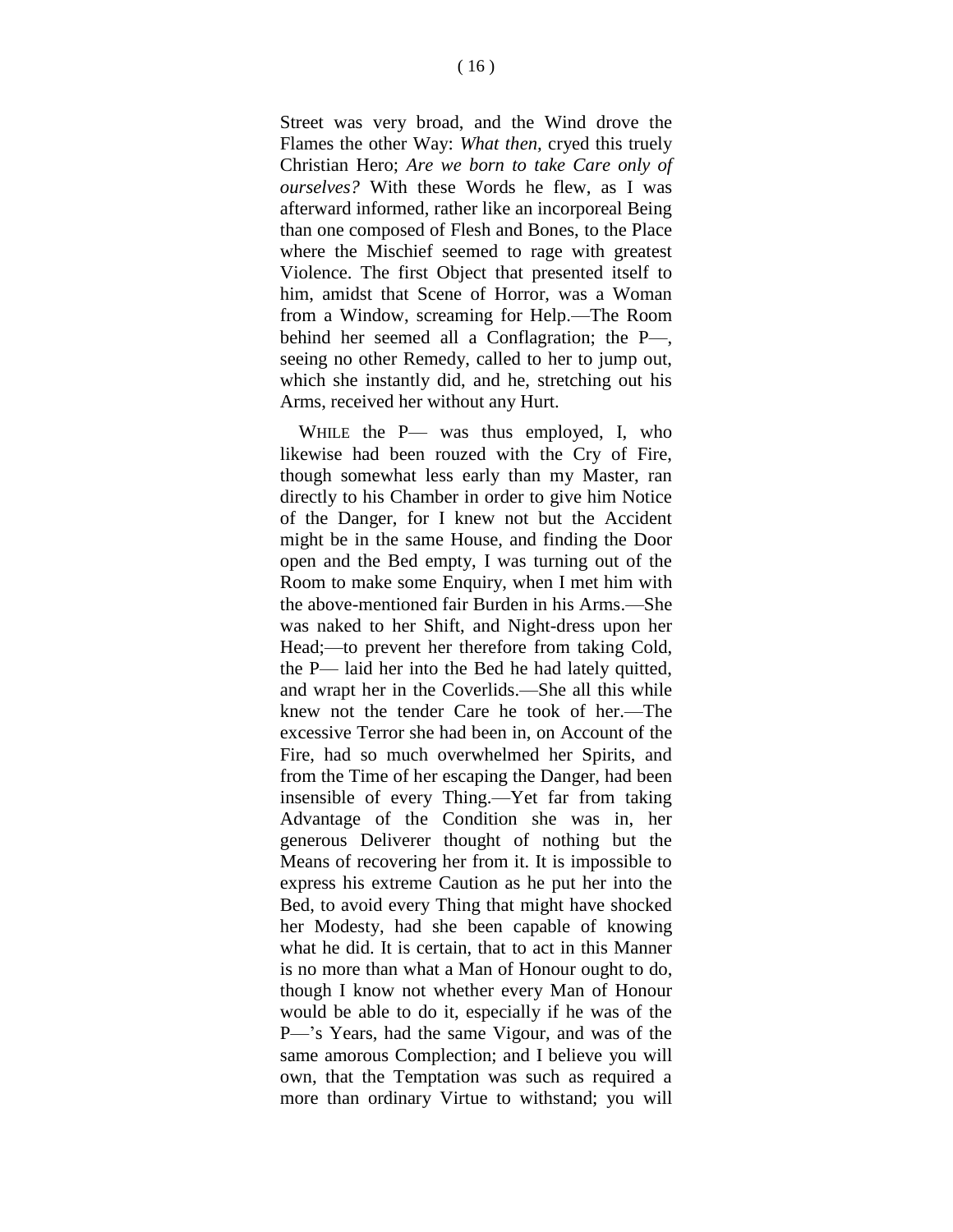Street was very broad, and the Wind drove the Flames the other Way: *What then,* cryed this truely Christian Hero; *Are we born to take Care only of ourselves?* With these Words he flew, as I was afterward informed, rather like an incorporeal Being than one composed of Flesh and Bones, to the Place where the Mischief seemed to rage with greatest Violence. The first Object that presented itself to him, amidst that Scene of Horror, was a Woman from a Window, screaming for Help.—The Room behind her seemed all a Conflagration; the P—, seeing no other Remedy, called to her to jump out, which she instantly did, and he, stretching out his Arms, received her without any Hurt.

WHILE the P— was thus employed, I, who likewise had been rouzed with the Cry of Fire, though somewhat less early than my Master, ran directly to his Chamber in order to give him Notice of the Danger, for I knew not but the Accident might be in the same House, and finding the Door open and the Bed empty, I was turning out of the Room to make some Enquiry, when I met him with the above-mentioned fair Burden in his Arms.—She was naked to her Shift, and Night-dress upon her Head;—to prevent her therefore from taking Cold, the P— laid her into the Bed he had lately quitted, and wrapt her in the Coverlids.—She all this while knew not the tender Care he took of her.—The excessive Terror she had been in, on Account of the Fire, had so much overwhelmed her Spirits, and from the Time of her escaping the Danger, had been insensible of every Thing.—Yet far from taking Advantage of the Condition she was in, her generous Deliverer thought of nothing but the Means of recovering her from it. It is impossible to express his extreme Caution as he put her into the Bed, to avoid every Thing that might have shocked her Modesty, had she been capable of knowing what he did. It is certain, that to act in this Manner is no more than what a Man of Honour ought to do, though I know not whether every Man of Honour would be able to do it, especially if he was of the P—'s Years, had the same Vigour, and was of the same amorous Complection; and I believe you will own, that the Temptation was such as required a more than ordinary Virtue to withstand; you will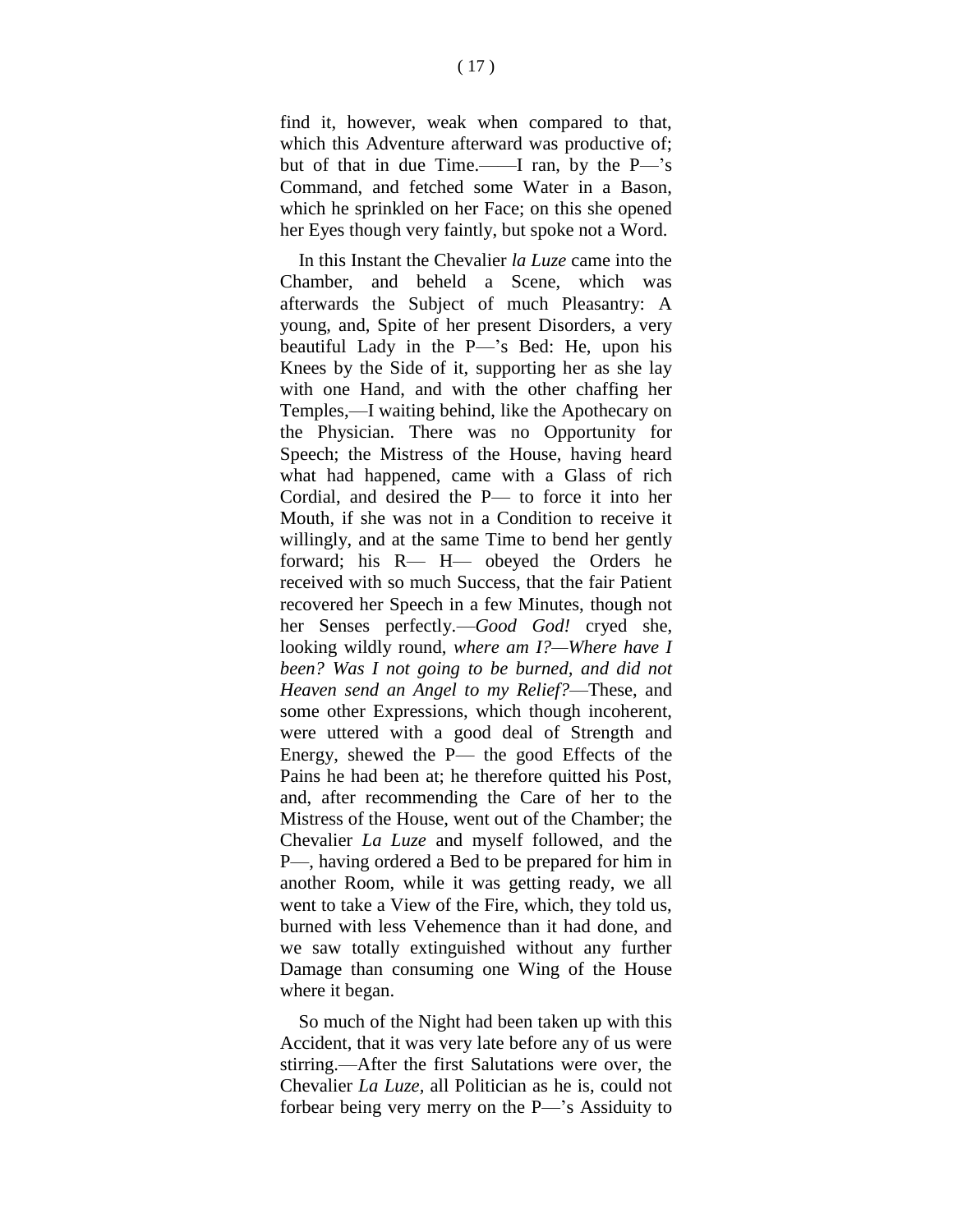find it, however, weak when compared to that, which this Adventure afterward was productive of; but of that in due Time.——I ran, by the P—'s Command, and fetched some Water in a Bason, which he sprinkled on her Face; on this she opened her Eyes though very faintly, but spoke not a Word.

In this Instant the Chevalier *la Luze* came into the Chamber, and beheld a Scene, which was afterwards the Subject of much Pleasantry: A young, and, Spite of her present Disorders, a very beautiful Lady in the P—'s Bed: He, upon his Knees by the Side of it, supporting her as she lay with one Hand, and with the other chaffing her Temples,—I waiting behind, like the Apothecary on the Physician. There was no Opportunity for Speech; the Mistress of the House, having heard what had happened, came with a Glass of rich Cordial, and desired the P— to force it into her Mouth, if she was not in a Condition to receive it willingly, and at the same Time to bend her gently forward; his R— H— obeyed the Orders he received with so much Success, that the fair Patient recovered her Speech in a few Minutes, though not her Senses perfectly.—*Good God!* cryed she, looking wildly round, *where am I?—Where have I been? Was I not going to be burned, and did not Heaven send an Angel to my Relief?*—These, and some other Expressions, which though incoherent, were uttered with a good deal of Strength and Energy, shewed the P— the good Effects of the Pains he had been at; he therefore quitted his Post, and, after recommending the Care of her to the Mistress of the House, went out of the Chamber; the Chevalier *La Luze* and myself followed, and the P—, having ordered a Bed to be prepared for him in another Room, while it was getting ready, we all went to take a View of the Fire, which, they told us, burned with less Vehemence than it had done, and we saw totally extinguished without any further Damage than consuming one Wing of the House where it began.

So much of the Night had been taken up with this Accident, that it was very late before any of us were stirring.—After the first Salutations were over, the Chevalier *La Luze,* all Politician as he is, could not forbear being very merry on the P—'s Assiduity to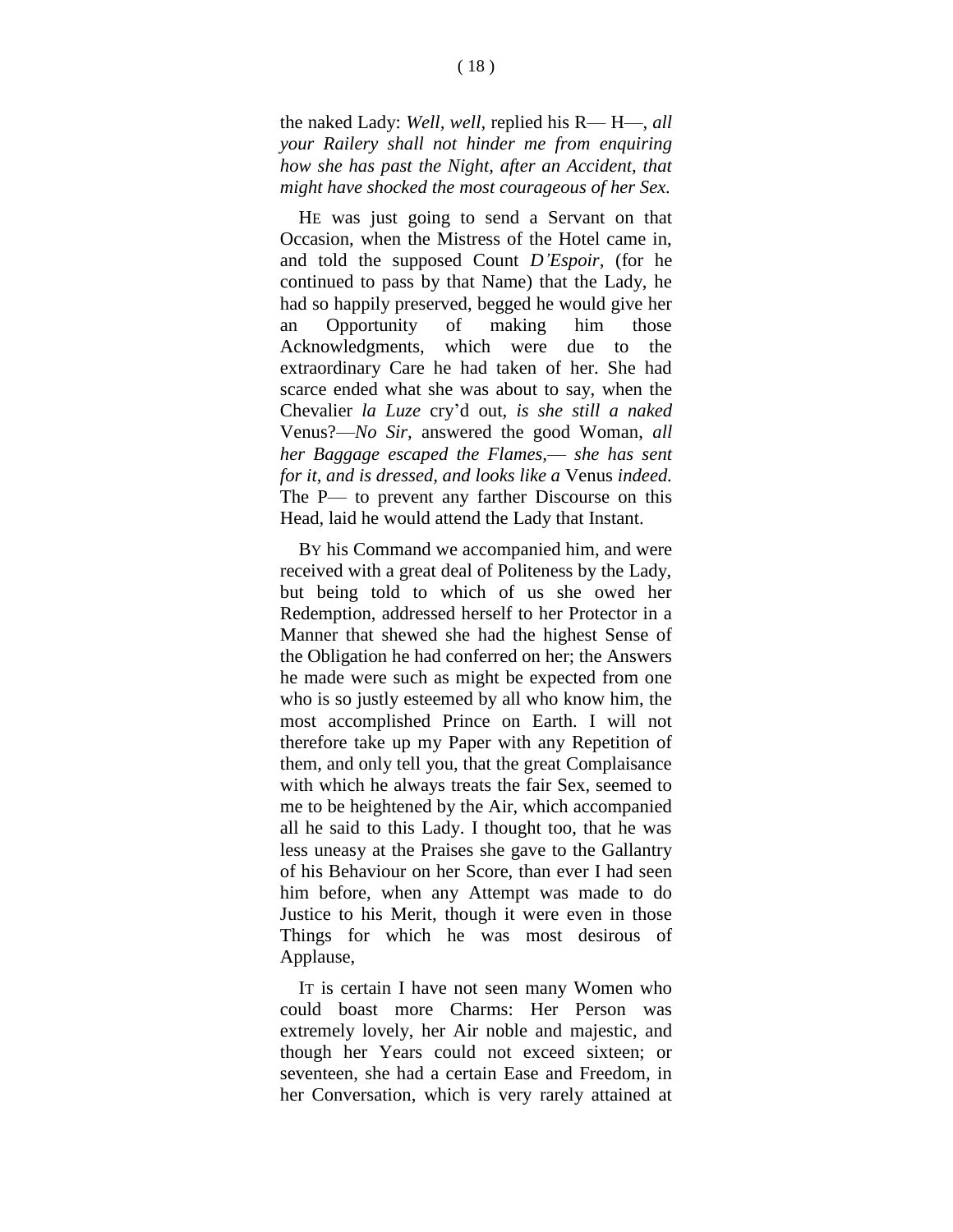the naked Lady: *Well, well,* replied his R— H—, *all your Railery shall not hinder me from enquiring how she has past the Night, after an Accident, that might have shocked the most courageous of her Sex.*

HE was just going to send a Servant on that Occasion, when the Mistress of the Hotel came in, and told the supposed Count *D'Espoir,* (for he continued to pass by that Name) that the Lady, he had so happily preserved, begged he would give her an Opportunity of making him those Acknowledgments, which were due to the extraordinary Care he had taken of her. She had scarce ended what she was about to say, when the Chevalier *la Luze* cry'd out, *is she still a naked*  Venus?—*No Sir,* answered the good Woman, *all her Baggage escaped the Flames,*— *she has sent for it, and is dressed, and looks like a* Venus *indeed.*  The P— to prevent any farther Discourse on this Head, laid he would attend the Lady that Instant.

BY his Command we accompanied him, and were received with a great deal of Politeness by the Lady, but being told to which of us she owed her Redemption, addressed herself to her Protector in a Manner that shewed she had the highest Sense of the Obligation he had conferred on her; the Answers he made were such as might be expected from one who is so justly esteemed by all who know him, the most accomplished Prince on Earth. I will not therefore take up my Paper with any Repetition of them, and only tell you, that the great Complaisance with which he always treats the fair Sex, seemed to me to be heightened by the Air, which accompanied all he said to this Lady. I thought too, that he was less uneasy at the Praises she gave to the Gallantry of his Behaviour on her Score, than ever I had seen him before, when any Attempt was made to do Justice to his Merit, though it were even in those Things for which he was most desirous of Applause,

IT is certain I have not seen many Women who could boast more Charms: Her Person was extremely lovely, her Air noble and majestic, and though her Years could not exceed sixteen; or seventeen, she had a certain Ease and Freedom, in her Conversation, which is very rarely attained at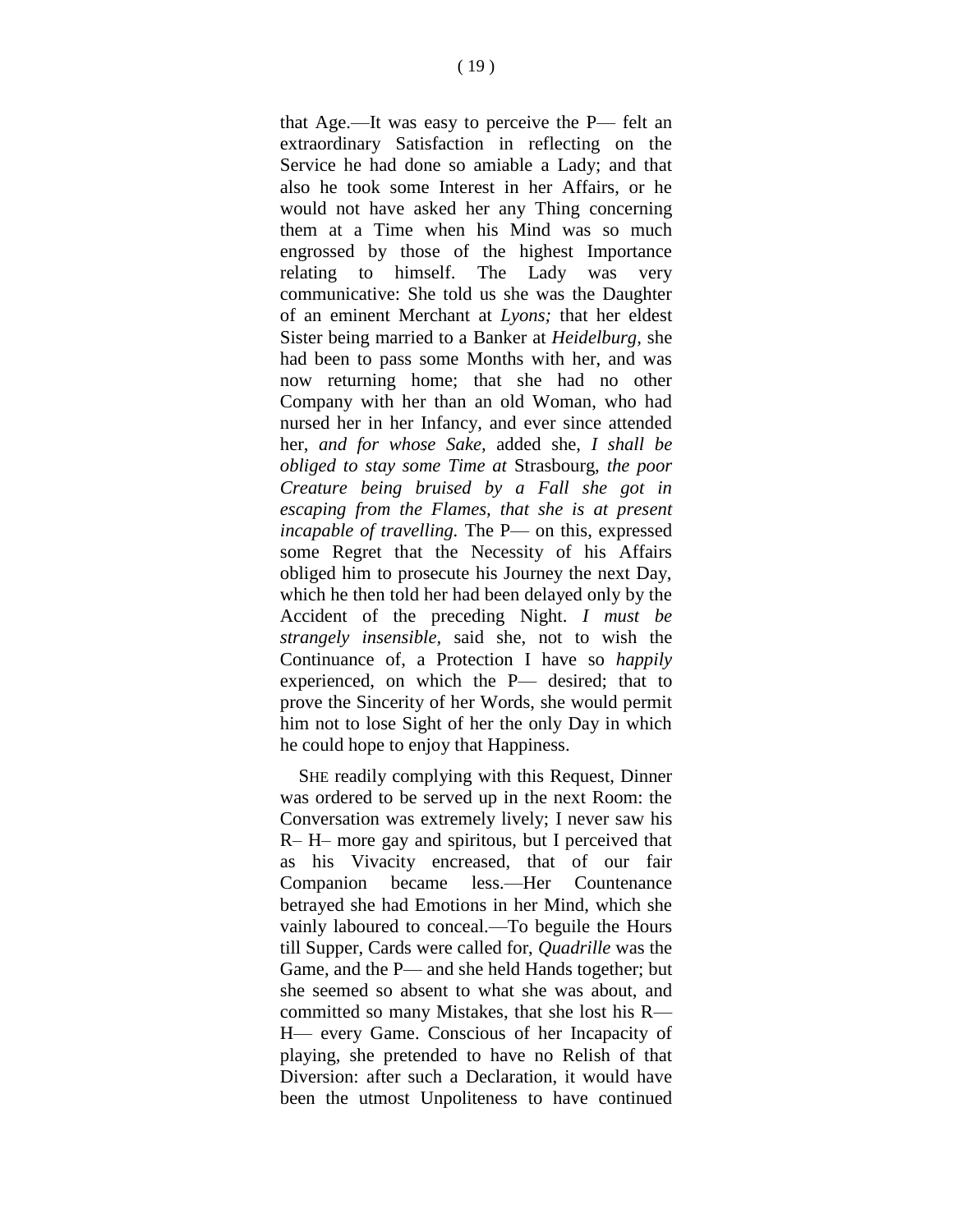that Age.—It was easy to perceive the P— felt an extraordinary Satisfaction in reflecting on the Service he had done so amiable a Lady; and that also he took some Interest in her Affairs, or he would not have asked her any Thing concerning them at a Time when his Mind was so much engrossed by those of the highest Importance relating to himself. The Lady was very communicative: She told us she was the Daughter of an eminent Merchant at *Lyons;* that her eldest Sister being married to a Banker at *Heidelburg,* she had been to pass some Months with her, and was now returning home; that she had no other Company with her than an old Woman, who had nursed her in her Infancy, and ever since attended her, *and for whose Sake,* added she, *I shall be obliged to stay some Time at* Strasbourg, *the poor Creature being bruised by a Fall she got in escaping from the Flames, that she is at present incapable of travelling.* The P— on this, expressed some Regret that the Necessity of his Affairs obliged him to prosecute his Journey the next Day, which he then told her had been delayed only by the Accident of the preceding Night. *I must be strangely insensible,* said she, not to wish the Continuance of, a Protection I have so *happily*  experienced, on which the P— desired; that to prove the Sincerity of her Words, she would permit him not to lose Sight of her the only Day in which he could hope to enjoy that Happiness.

SHE readily complying with this Request, Dinner was ordered to be served up in the next Room: the Conversation was extremely lively; I never saw his R– H– more gay and spiritous, but I perceived that as his Vivacity encreased, that of our fair Companion became less.—Her Countenance betrayed she had Emotions in her Mind, which she vainly laboured to conceal.—To beguile the Hours till Supper, Cards were called for, *Quadrille* was the Game, and the P— and she held Hands together; but she seemed so absent to what she was about, and committed so many Mistakes, that she lost his R— H— every Game. Conscious of her Incapacity of playing, she pretended to have no Relish of that Diversion: after such a Declaration, it would have been the utmost Unpoliteness to have continued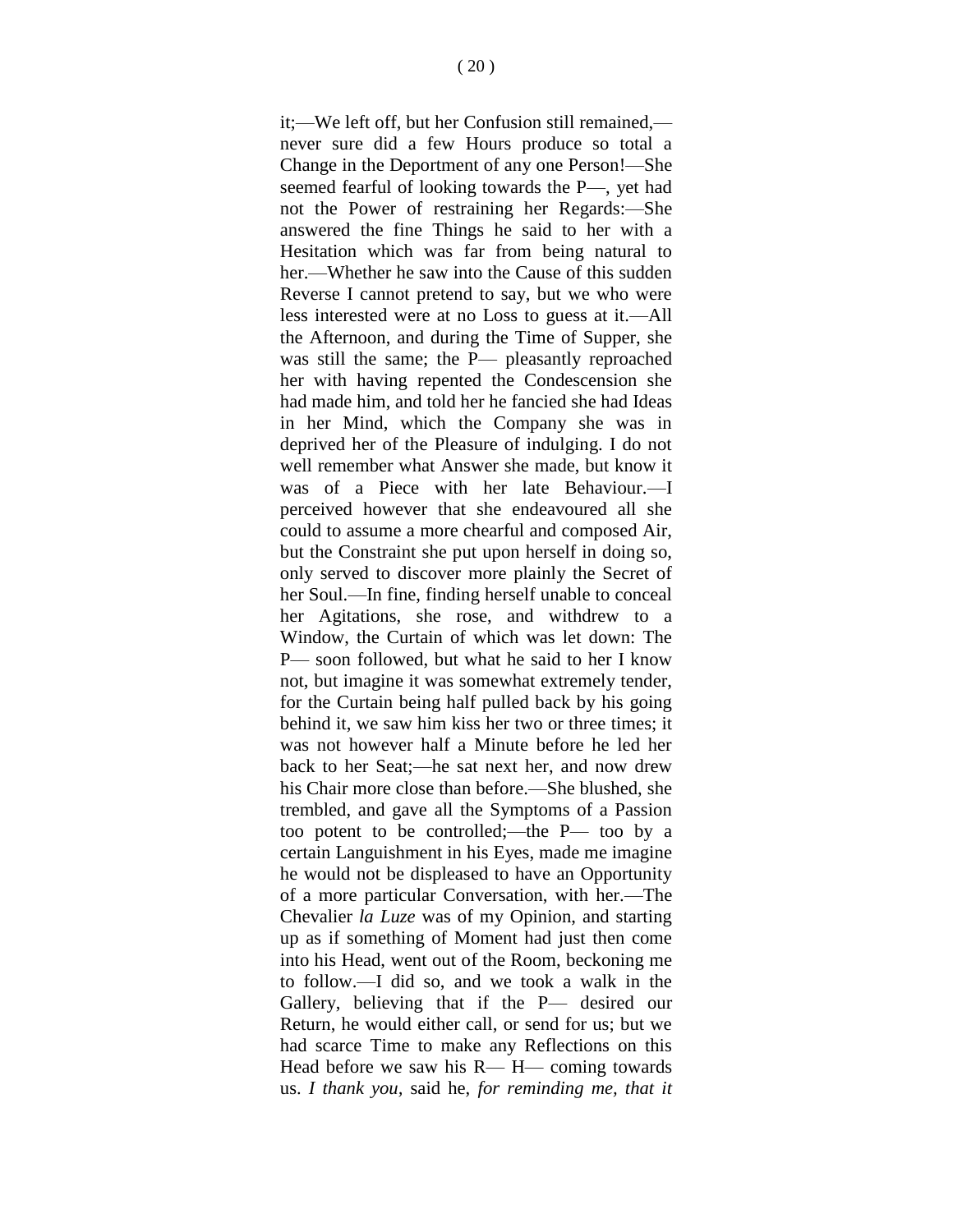it;—We left off, but her Confusion still remained, never sure did a few Hours produce so total a Change in the Deportment of any one Person!—She seemed fearful of looking towards the P—, yet had not the Power of restraining her Regards:—She answered the fine Things he said to her with a Hesitation which was far from being natural to her.—Whether he saw into the Cause of this sudden Reverse I cannot pretend to say, but we who were less interested were at no Loss to guess at it.—All the Afternoon, and during the Time of Supper, she was still the same; the P— pleasantly reproached her with having repented the Condescension she had made him, and told her he fancied she had Ideas in her Mind, which the Company she was in deprived her of the Pleasure of indulging. I do not well remember what Answer she made, but know it was of a Piece with her late Behaviour.—I perceived however that she endeavoured all she could to assume a more chearful and composed Air, but the Constraint she put upon herself in doing so, only served to discover more plainly the Secret of her Soul.—In fine, finding herself unable to conceal her Agitations, she rose, and withdrew to a Window, the Curtain of which was let down: The P— soon followed, but what he said to her I know not, but imagine it was somewhat extremely tender, for the Curtain being half pulled back by his going behind it, we saw him kiss her two or three times; it was not however half a Minute before he led her back to her Seat;—he sat next her, and now drew his Chair more close than before.—She blushed, she trembled, and gave all the Symptoms of a Passion too potent to be controlled;—the P— too by a certain Languishment in his Eyes, made me imagine he would not be displeased to have an Opportunity of a more particular Conversation, with her.—The Chevalier *la Luze* was of my Opinion, and starting up as if something of Moment had just then come into his Head, went out of the Room, beckoning me to follow.—I did so, and we took a walk in the Gallery, believing that if the P— desired our Return, he would either call, or send for us; but we had scarce Time to make any Reflections on this Head before we saw his R— H— coming towards us. *I thank you,* said he, *for reminding me, that it*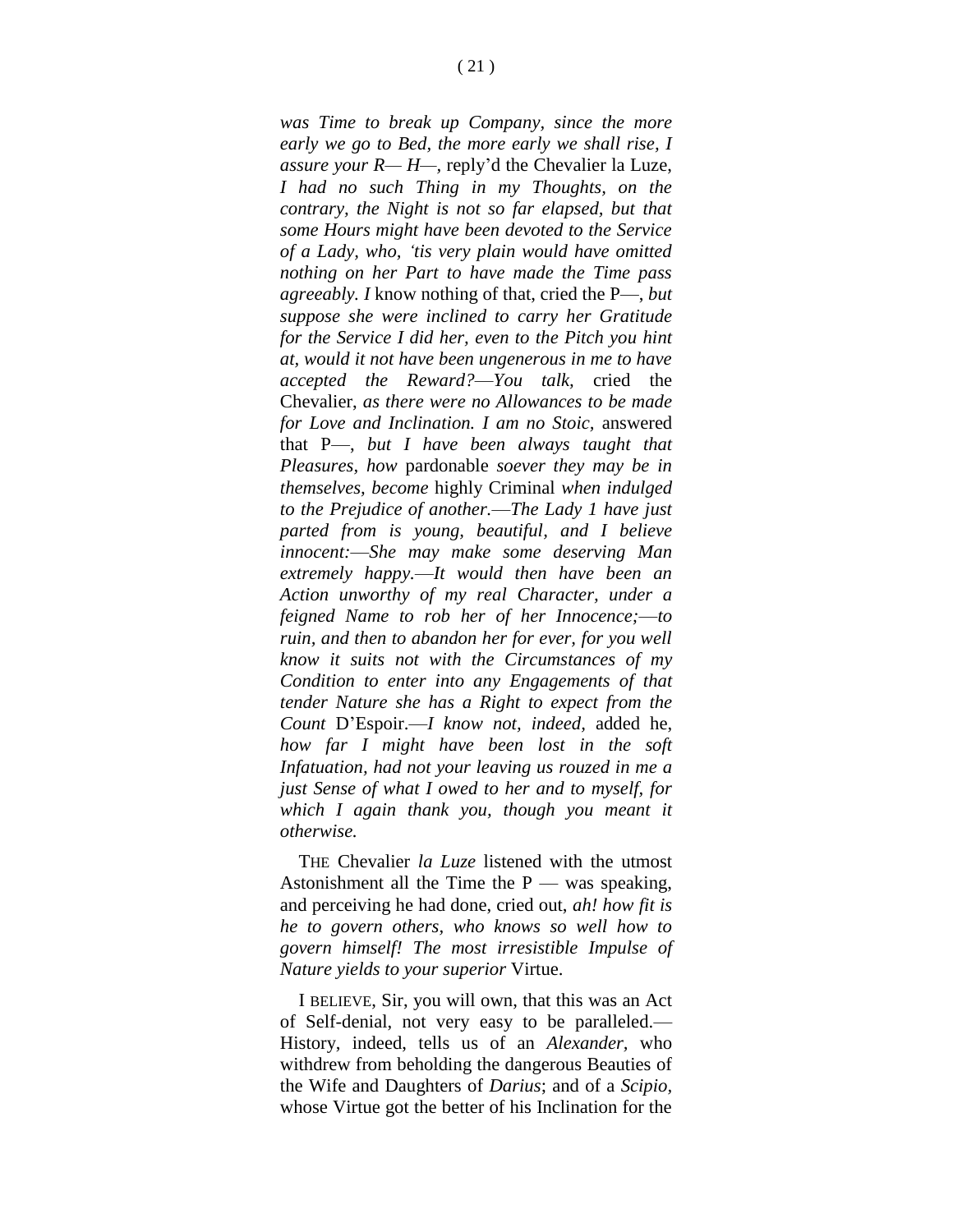*was Time to break up Company, since the more early we go to Bed, the more early we shall rise, I assure your R— H—,* reply'd the Chevalier la Luze, *I had no such Thing in my Thoughts, on the contrary, the Night is not so far elapsed, but that some Hours might have been devoted to the Service of a Lady, who, 'tis very plain would have omitted nothing on her Part to have made the Time pass agreeably. I* know nothing of that, cried the P—, *but suppose she were inclined to carry her Gratitude for the Service I did her, even to the Pitch you hint at, would it not have been ungenerous in me to have accepted the Reward?*—*You talk,* cried the Chevalier, *as there were no Allowances to be made for Love and Inclination. I am no Stoic,* answered that P—, *but I have been always taught that Pleasures, how* pardonable *soever they may be in themselves, become* highly Criminal *when indulged to the Prejudice of another.*—*The Lady 1 have just parted from is young, beautiful, and I believe innocent:*—*She may make some deserving Man extremely happy.*—*It would then have been an Action unworthy of my real Character, under a feigned Name to rob her of her Innocence;*—*to ruin, and then to abandon her for ever, for you well know it suits not with the Circumstances of my Condition to enter into any Engagements of that tender Nature she has a Right to expect from the Count* D'Espoir.—*I know not, indeed,* added he, *how far I might have been lost in the soft Infatuation, had not your leaving us rouzed in me a just Sense of what I owed to her and to myself, for which I again thank you, though you meant it otherwise.*

THE Chevalier *la Luze* listened with the utmost Astonishment all the Time the  $P$  — was speaking, and perceiving he had done, cried out, *ah! how fit is he to govern others, who knows so well how to govern himself! The most irresistible Impulse of Nature yields to your superior* Virtue.

I BELIEVE, Sir, you will own, that this was an Act of Self-denial, not very easy to be paralleled.— History, indeed, tells us of an *Alexander,* who withdrew from beholding the dangerous Beauties of the Wife and Daughters of *Darius*; and of a *Scipio,*  whose Virtue got the better of his Inclination for the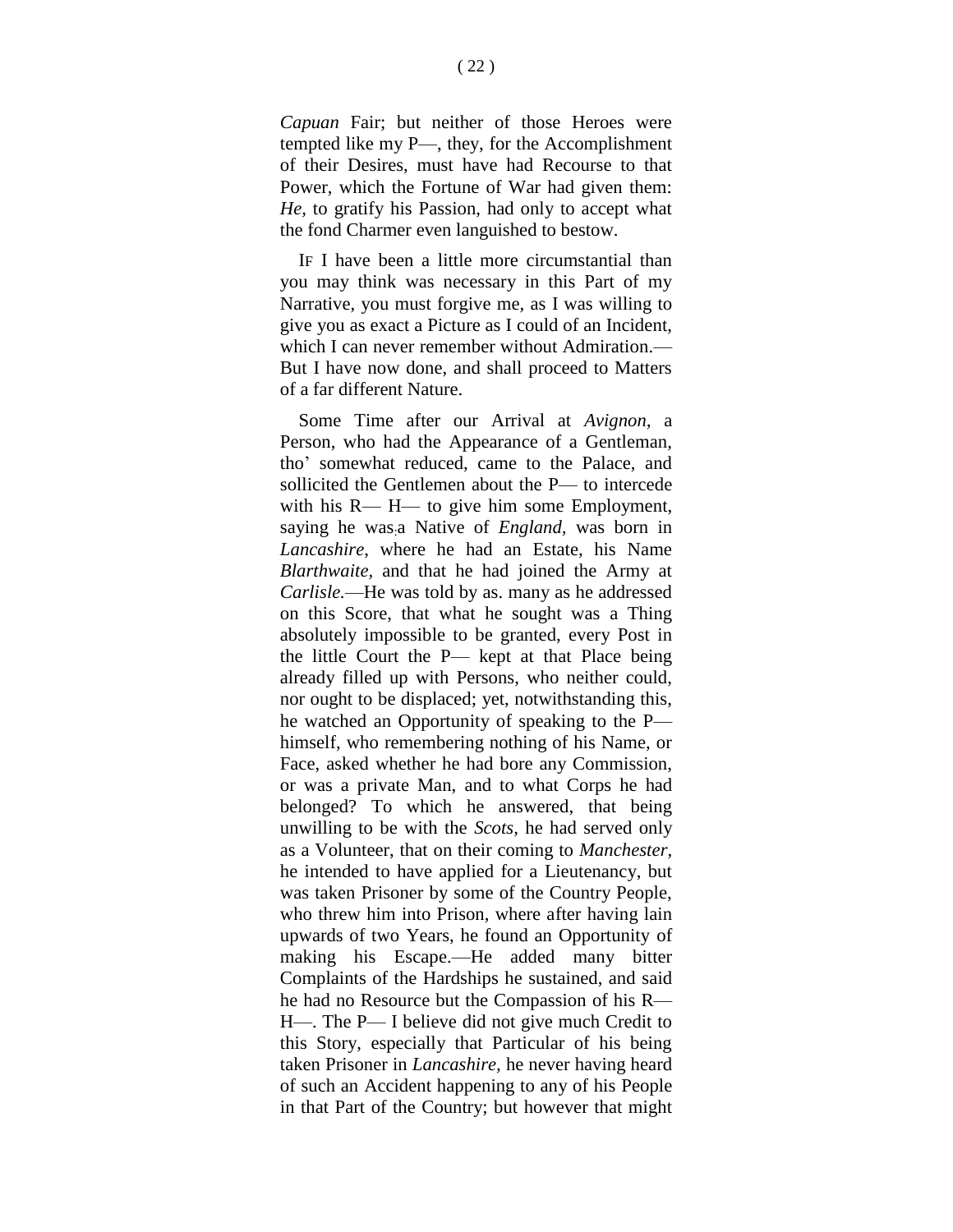*Capuan* Fair; but neither of those Heroes were tempted like my P—, they, for the Accomplishment of their Desires, must have had Recourse to that Power, which the Fortune of War had given them: *He,* to gratify his Passion, had only to accept what the fond Charmer even languished to bestow.

IF I have been a little more circumstantial than you may think was necessary in this Part of my Narrative, you must forgive me, as I was willing to give you as exact a Picture as I could of an Incident, which I can never remember without Admiration.— But I have now done, and shall proceed to Matters of a far different Nature.

Some Time after our Arrival at *Avignon,* a Person, who had the Appearance of a Gentleman, tho' somewhat reduced, came to the Palace, and sollicited the Gentlemen about the P— to intercede with his R— H— to give him some Employment, saying he was:a Native of *England,* was born in *Lancashire*, where he had an Estate, his Name *Blarthwaite,* and that he had joined the Army at *Carlisle.*—He was told by as. many as he addressed on this Score, that what he sought was a Thing absolutely impossible to be granted, every Post in the little Court the P— kept at that Place being already filled up with Persons, who neither could, nor ought to be displaced; yet, notwithstanding this, he watched an Opportunity of speaking to the P himself, who remembering nothing of his Name, or Face, asked whether he had bore any Commission, or was a private Man, and to what Corps he had belonged? To which he answered, that being unwilling to be with the *Scots,* he had served only as a Volunteer, that on their coming to *Manchester,* he intended to have applied for a Lieutenancy, but was taken Prisoner by some of the Country People, who threw him into Prison, where after having lain upwards of two Years, he found an Opportunity of making his Escape.—He added many bitter Complaints of the Hardships he sustained, and said he had no Resource but the Compassion of his R— H—. The P— I believe did not give much Credit to this Story, especially that Particular of his being taken Prisoner in *Lancashire,* he never having heard of such an Accident happening to any of his People in that Part of the Country; but however that might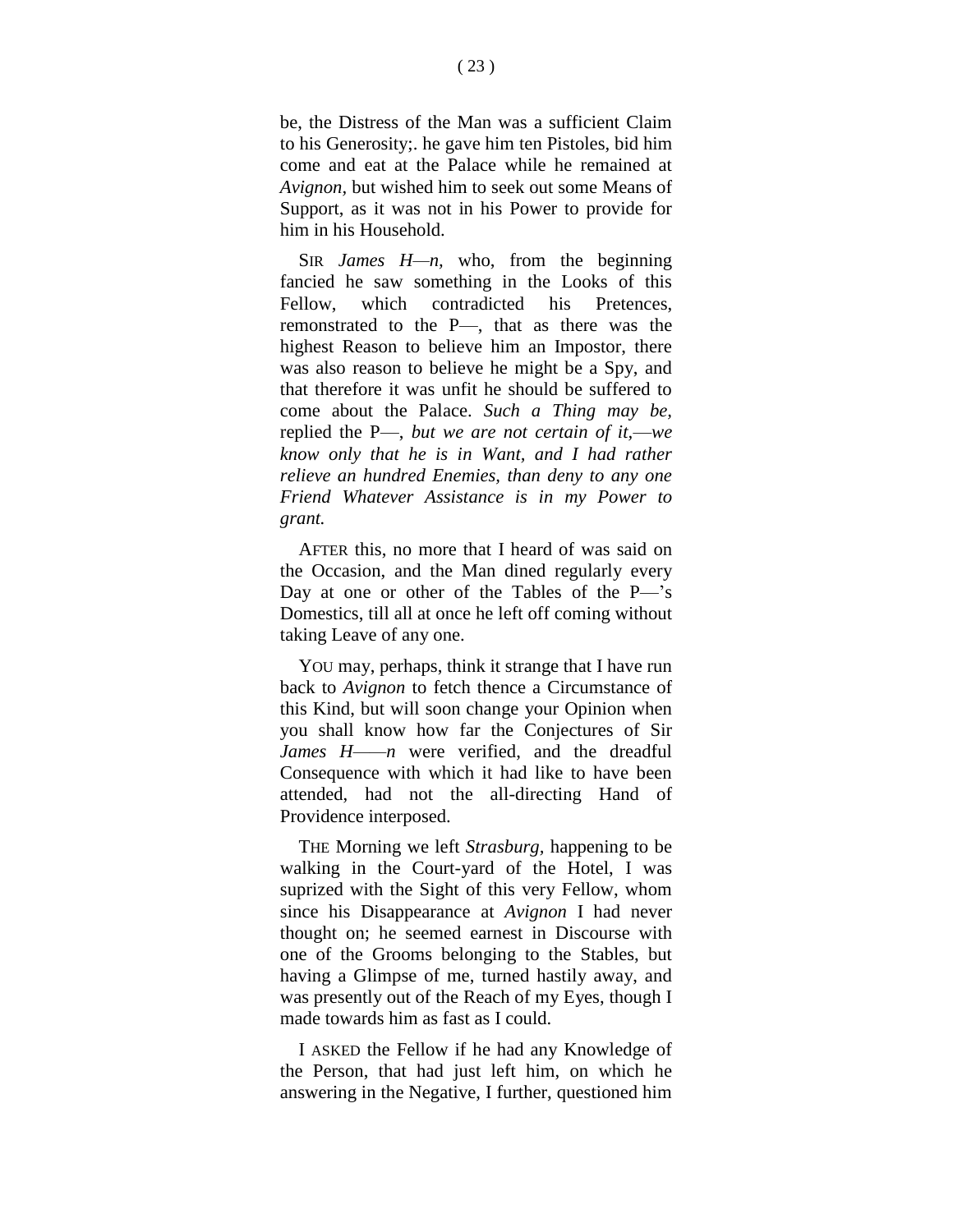be, the Distress of the Man was a sufficient Claim to his Generosity;. he gave him ten Pistoles, bid him come and eat at the Palace while he remained at *Avignon,* but wished him to seek out some Means of Support, as it was not in his Power to provide for him in his Household.

SIR *James H—n,* who, from the beginning fancied he saw something in the Looks of this Fellow, which contradicted his Pretences, remonstrated to the P—, that as there was the highest Reason to believe him an Impostor, there was also reason to believe he might be a Spy, and that therefore it was unfit he should be suffered to come about the Palace. *Such a Thing may be,*  replied the P—, *but we are not certain of it,*—*we know only that he is in Want, and I had rather relieve an hundred Enemies, than deny to any one Friend Whatever Assistance is in my Power to grant.*

AFTER this, no more that I heard of was said on the Occasion, and the Man dined regularly every Day at one or other of the Tables of the P—'s Domestics, till all at once he left off coming without taking Leave of any one.

YOU may, perhaps, think it strange that I have run back to *Avignon* to fetch thence a Circumstance of this Kind, but will soon change your Opinion when you shall know how far the Conjectures of Sir *James H——n* were verified, and the dreadful Consequence with which it had like to have been attended, had not the all-directing Hand of Providence interposed.

THE Morning we left *Strasburg,* happening to be walking in the Court-yard of the Hotel, I was suprized with the Sight of this very Fellow, whom since his Disappearance at *Avignon* I had never thought on; he seemed earnest in Discourse with one of the Grooms belonging to the Stables, but having a Glimpse of me, turned hastily away, and was presently out of the Reach of my Eyes, though I made towards him as fast as I could.

I ASKED the Fellow if he had any Knowledge of the Person, that had just left him, on which he answering in the Negative, I further, questioned him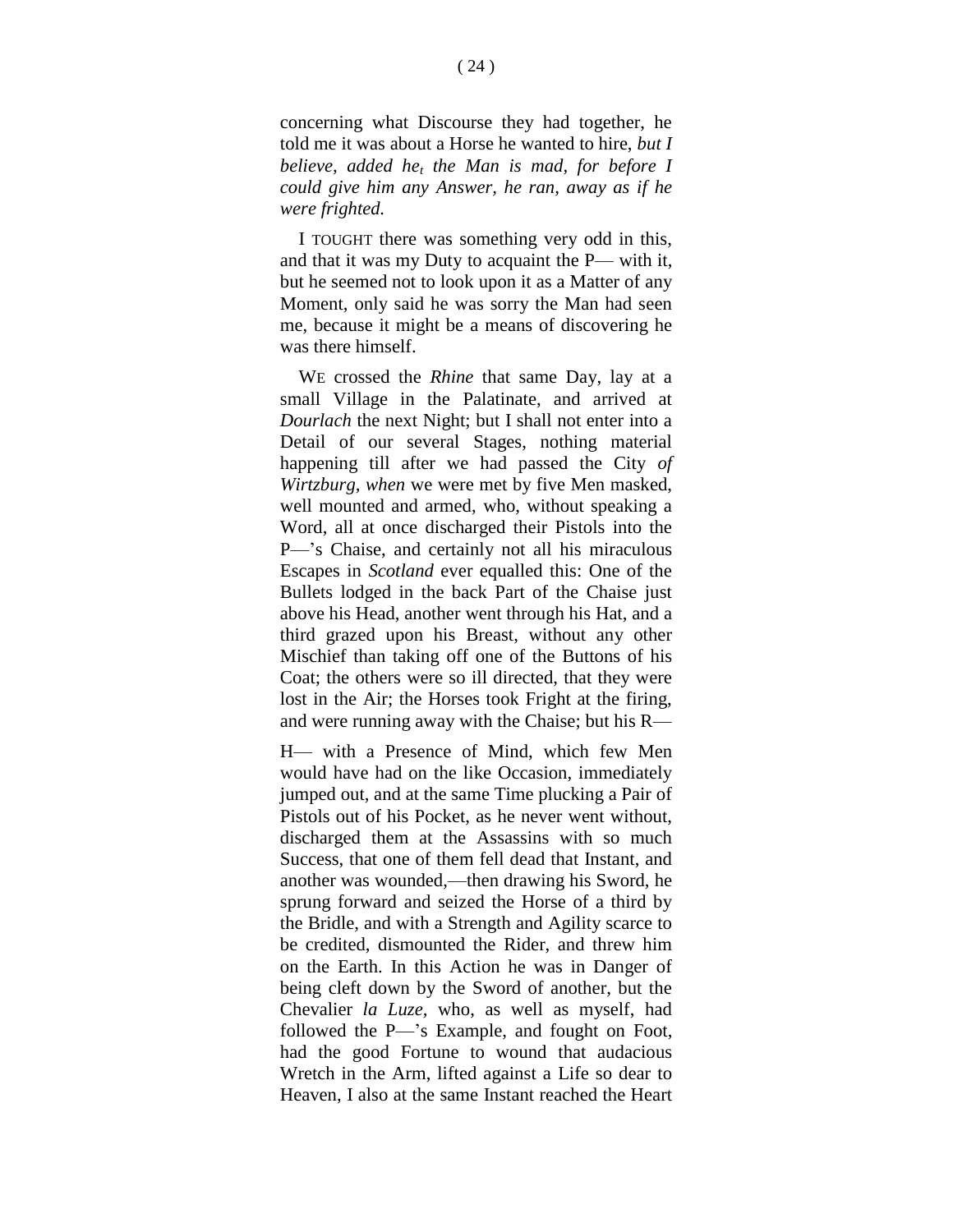concerning what Discourse they had together, he told me it was about a Horse he wanted to hire, *but I believe, added he<sup>t</sup> the Man is mad, for before I could give him any Answer, he ran, away as if he were frighted.*

I TOUGHT there was something very odd in this, and that it was my Duty to acquaint the P— with it, but he seemed not to look upon it as a Matter of any Moment, only said he was sorry the Man had seen me, because it might be a means of discovering he was there himself.

WE crossed the *Rhine* that same Day, lay at a small Village in the Palatinate, and arrived at *Dourlach* the next Night; but I shall not enter into a Detail of our several Stages, nothing material happening till after we had passed the City *of Wirtzburg, when* we were met by five Men masked, well mounted and armed, who, without speaking a Word, all at once discharged their Pistols into the P—'s Chaise, and certainly not all his miraculous Escapes in *Scotland* ever equalled this: One of the Bullets lodged in the back Part of the Chaise just above his Head, another went through his Hat, and a third grazed upon his Breast, without any other Mischief than taking off one of the Buttons of his Coat; the others were so ill directed, that they were lost in the Air; the Horses took Fright at the firing, and were running away with the Chaise; but his R—

H— with a Presence of Mind, which few Men would have had on the like Occasion, immediately jumped out, and at the same Time plucking a Pair of Pistols out of his Pocket, as he never went without, discharged them at the Assassins with so much Success, that one of them fell dead that Instant, and another was wounded,—then drawing his Sword, he sprung forward and seized the Horse of a third by the Bridle, and with a Strength and Agility scarce to be credited, dismounted the Rider, and threw him on the Earth. In this Action he was in Danger of being cleft down by the Sword of another, but the Chevalier *la Luze,* who, as well as myself, had followed the P—'s Example, and fought on Foot, had the good Fortune to wound that audacious Wretch in the Arm, lifted against a Life so dear to Heaven, I also at the same Instant reached the Heart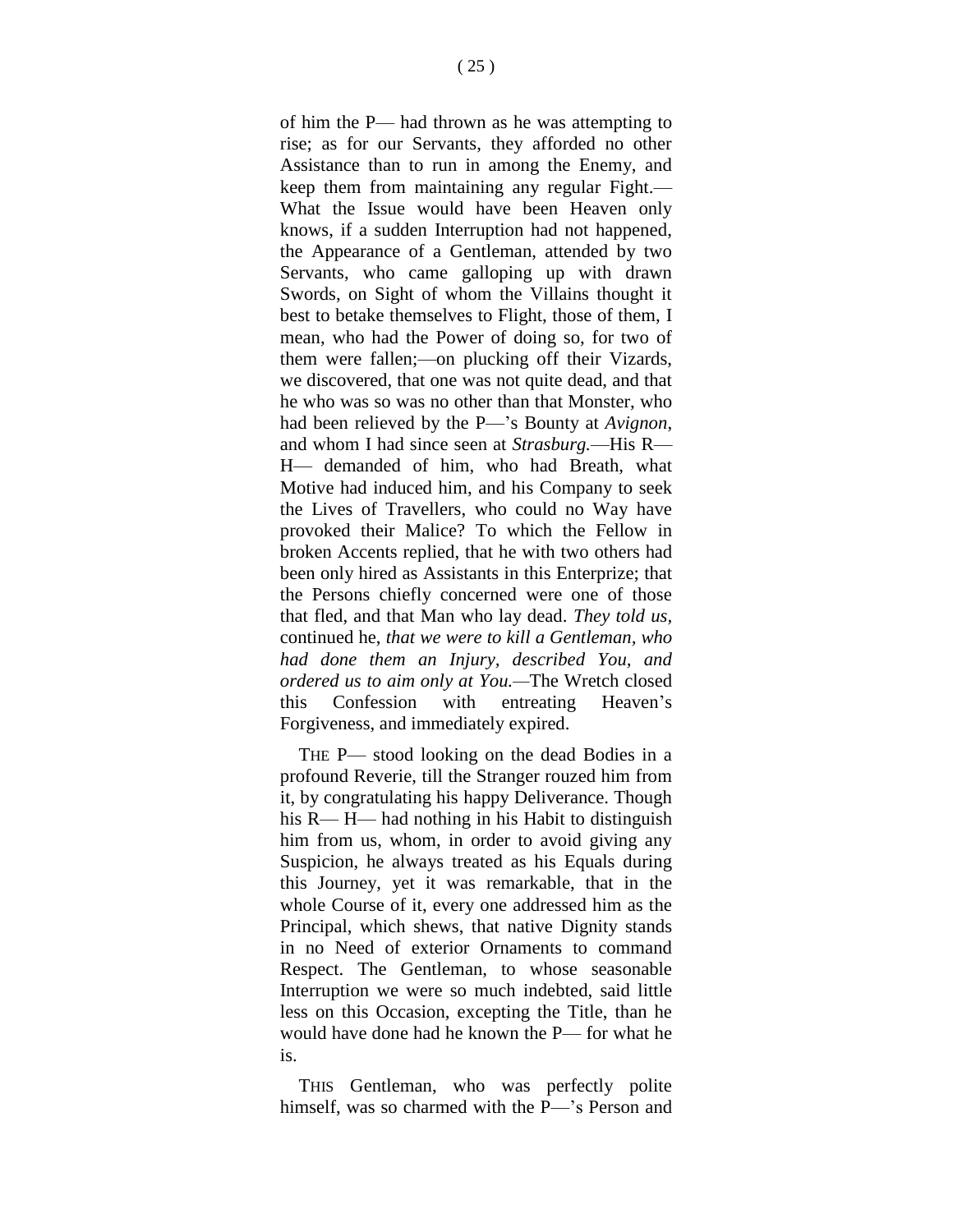of him the P— had thrown as he was attempting to rise; as for our Servants, they afforded no other Assistance than to run in among the Enemy, and keep them from maintaining any regular Fight.— What the Issue would have been Heaven only knows, if a sudden Interruption had not happened, the Appearance of a Gentleman, attended by two Servants, who came galloping up with drawn Swords, on Sight of whom the Villains thought it best to betake themselves to Flight, those of them, I mean, who had the Power of doing so, for two of them were fallen;—on plucking off their Vizards, we discovered, that one was not quite dead, and that he who was so was no other than that Monster, who had been relieved by the P—'s Bounty at *Avignon*, and whom I had since seen at *Strasburg.*—His R— H— demanded of him, who had Breath, what Motive had induced him, and his Company to seek the Lives of Travellers, who could no Way have provoked their Malice? To which the Fellow in broken Accents replied, that he with two others had been only hired as Assistants in this Enterprize; that the Persons chiefly concerned were one of those that fled, and that Man who lay dead. *They told us,*  continued he, *that we were to kill a Gentleman, who had done them an Injury, described You, and ordered us to aim only at You.—*The Wretch closed this Confession with entreating Heaven's Forgiveness, and immediately expired.

THE P— stood looking on the dead Bodies in a profound Reverie, till the Stranger rouzed him from it, by congratulating his happy Deliverance. Though his R— H— had nothing in his Habit to distinguish him from us, whom, in order to avoid giving any Suspicion, he always treated as his Equals during this Journey, yet it was remarkable, that in the whole Course of it, every one addressed him as the Principal, which shews, that native Dignity stands in no Need of exterior Ornaments to command Respect. The Gentleman, to whose seasonable Interruption we were so much indebted, said little less on this Occasion, excepting the Title, than he would have done had he known the P— for what he is.

THIS Gentleman, who was perfectly polite himself, was so charmed with the P—'s Person and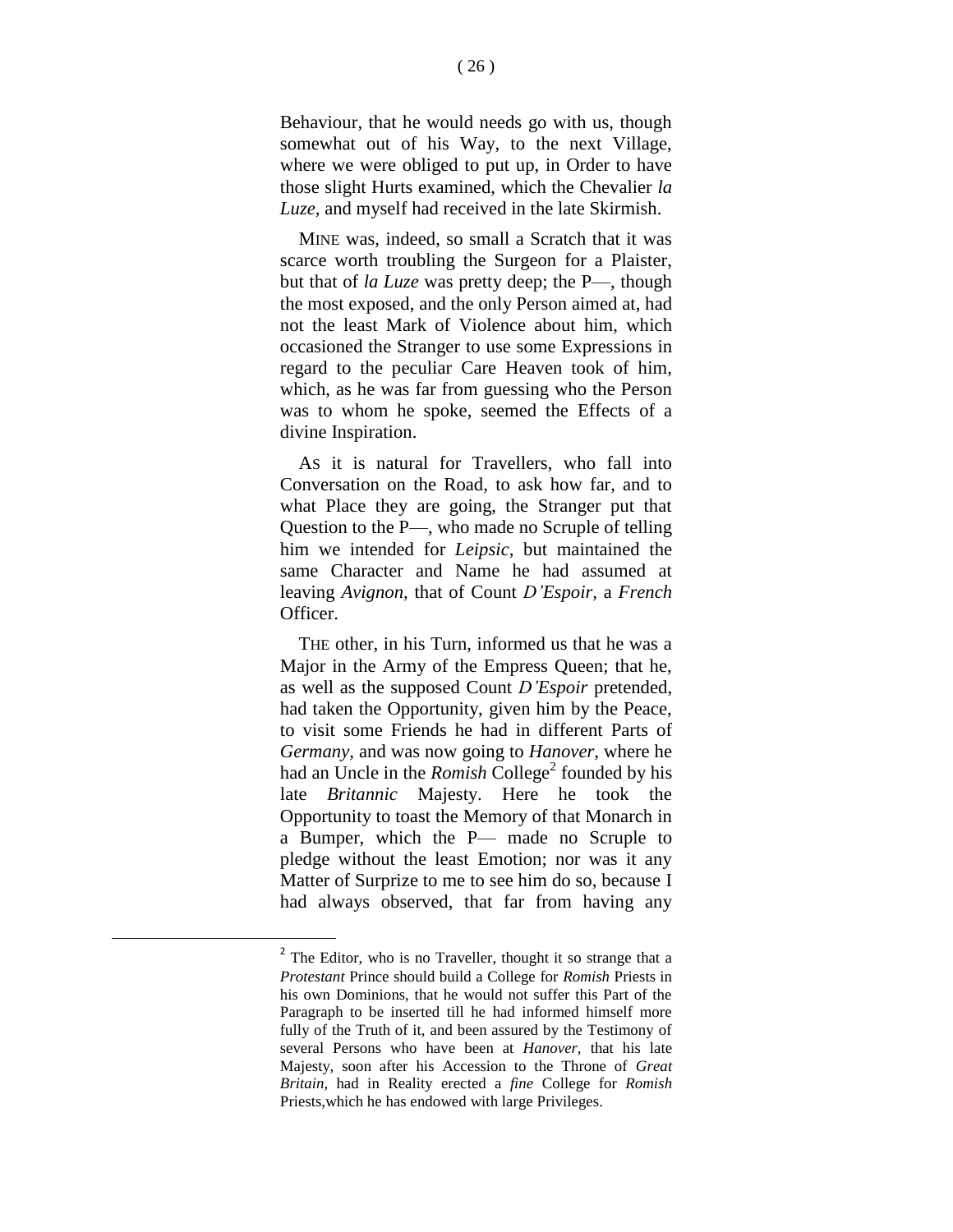Behaviour, that he would needs go with us, though somewhat out of his Way, to the next Village, where we were obliged to put up, in Order to have those slight Hurts examined, which the Chevalier *la Luze,* and myself had received in the late Skirmish.

MINE was, indeed, so small a Scratch that it was scarce worth troubling the Surgeon for a Plaister, but that of *la Luze* was pretty deep; the P—, though the most exposed, and the only Person aimed at, had not the least Mark of Violence about him, which occasioned the Stranger to use some Expressions in regard to the peculiar Care Heaven took of him, which, as he was far from guessing who the Person was to whom he spoke, seemed the Effects of a divine Inspiration.

AS it is natural for Travellers, who fall into Conversation on the Road, to ask how far, and to what Place they are going, the Stranger put that Question to the P—, who made no Scruple of telling him we intended for *Leipsic,* but maintained the same Character and Name he had assumed at leaving *Avignon,* that of Count *D'Espoir,* a *French*  Officer.

THE other, in his Turn, informed us that he was a Major in the Army of the Empress Queen; that he, as well as the supposed Count *D'Espoir* pretended, had taken the Opportunity, given him by the Peace, to visit some Friends he had in different Parts of *Germany,* and was now going to *Hanover,* where he had an Uncle in the *Romish* College<sup>2</sup> founded by his late *Britannic* Majesty. Here he took the Opportunity to toast the Memory of that Monarch in a Bumper, which the P— made no Scruple to pledge without the least Emotion; nor was it any Matter of Surprize to me to see him do so, because I had always observed, that far from having any

l

 $2^2$  The Editor, who is no Traveller, thought it so strange that a *Protestant* Prince should build a College for *Romish* Priests in his own Dominions, that he would not suffer this Part of the Paragraph to be inserted till he had informed himself more fully of the Truth of it, and been assured by the Testimony of several Persons who have been at *Hanover,* that his late Majesty, soon after his Accession to the Throne of *Great Britain,* had in Reality erected a *fine* College for *Romish*  Priests,which he has endowed with large Privileges.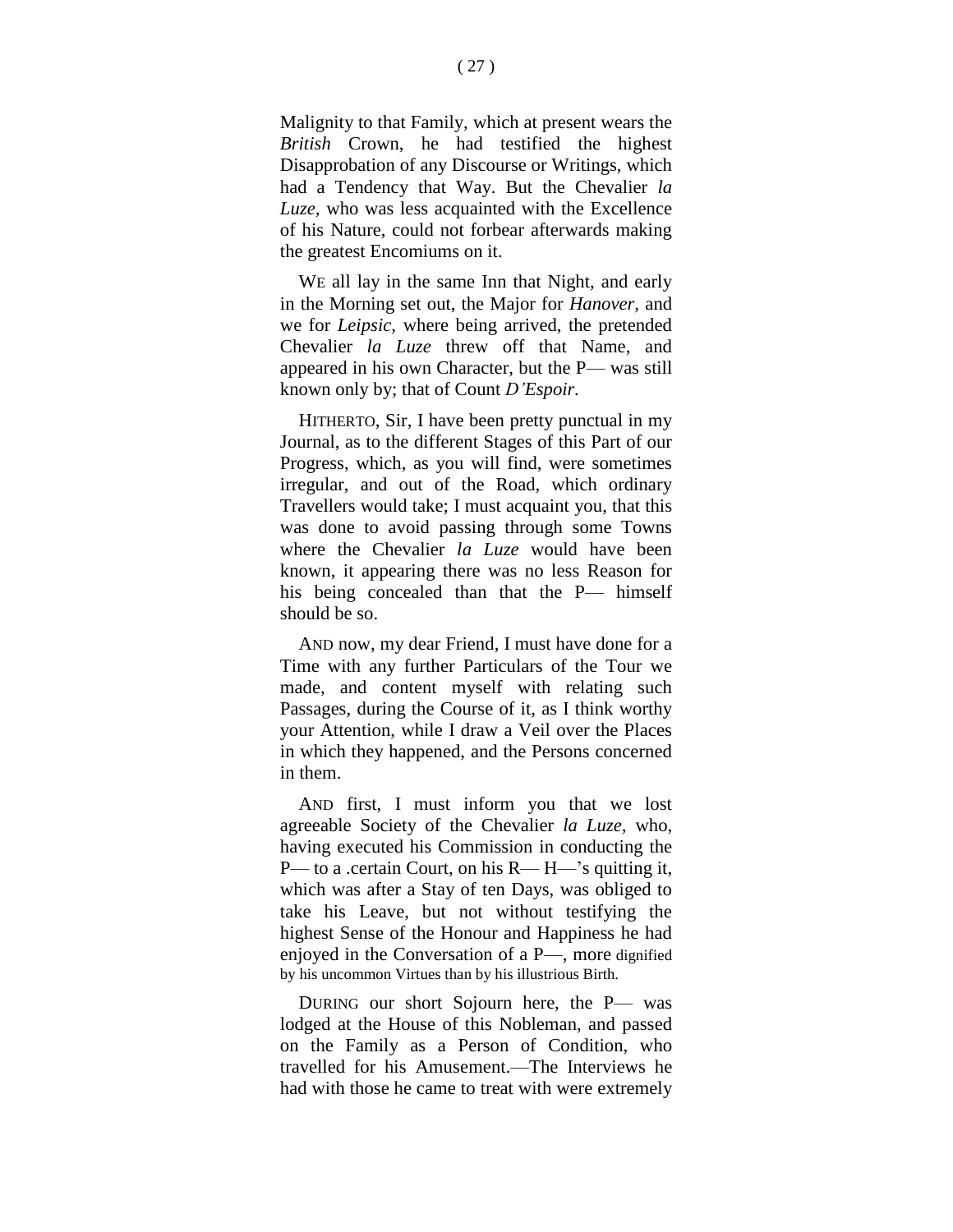Malignity to that Family, which at present wears the *British* Crown, he had testified the highest Disapprobation of any Discourse or Writings, which had a Tendency that Way. But the Chevalier *la Luze,* who was less acquainted with the Excellence of his Nature, could not forbear afterwards making the greatest Encomiums on it.

WE all lay in the same Inn that Night, and early in the Morning set out, the Major for *Hanover,* and we for *Leipsic,* where being arrived, the pretended Chevalier *la Luze* threw off that Name, and appeared in his own Character, but the P— was still known only by; that of Count *D'Espoir.*

HITHERTO, Sir, I have been pretty punctual in my Journal, as to the different Stages of this Part of our Progress, which, as you will find, were sometimes irregular, and out of the Road, which ordinary Travellers would take; I must acquaint you, that this was done to avoid passing through some Towns where the Chevalier *la Luze* would have been known, it appearing there was no less Reason for his being concealed than that the P— himself should be so.

AND now, my dear Friend, I must have done for a Time with any further Particulars of the Tour we made, and content myself with relating such Passages, during the Course of it, as I think worthy your Attention, while I draw a Veil over the Places in which they happened, and the Persons concerned in them.

AND first, I must inform you that we lost agreeable Society of the Chevalier *la Luze,* who, having executed his Commission in conducting the P— to a .certain Court, on his R— H—'s quitting it, which was after a Stay of ten Days, was obliged to take his Leave, but not without testifying the highest Sense of the Honour and Happiness he had enjoyed in the Conversation of a P—, more dignified by his uncommon Virtues than by his illustrious Birth.

DURING our short Sojourn here, the P— was lodged at the House of this Nobleman, and passed on the Family as a Person of Condition, who travelled for his Amusement.—The Interviews he had with those he came to treat with were extremely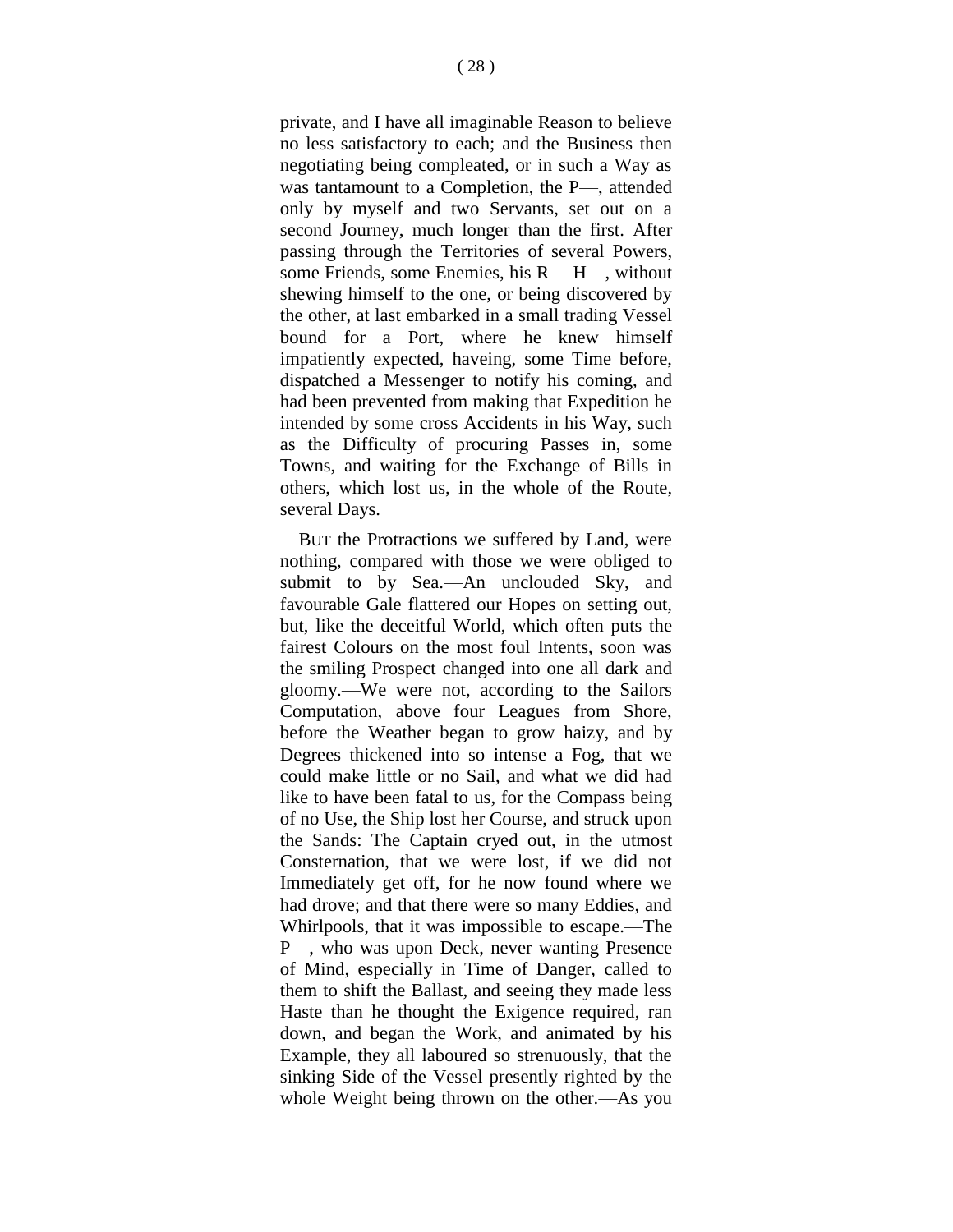private, and I have all imaginable Reason to believe no less satisfactory to each; and the Business then negotiating being compleated, or in such a Way as was tantamount to a Completion, the P—, attended only by myself and two Servants, set out on a second Journey, much longer than the first. After passing through the Territories of several Powers, some Friends, some Enemies, his R— H—, without shewing himself to the one, or being discovered by the other, at last embarked in a small trading Vessel bound for a Port, where he knew himself impatiently expected, haveing, some Time before, dispatched a Messenger to notify his coming, and had been prevented from making that Expedition he intended by some cross Accidents in his Way, such as the Difficulty of procuring Passes in, some Towns, and waiting for the Exchange of Bills in others, which lost us, in the whole of the Route, several Days.

BUT the Protractions we suffered by Land, were nothing, compared with those we were obliged to submit to by Sea.—An unclouded Sky, and favourable Gale flattered our Hopes on setting out, but, like the deceitful World, which often puts the fairest Colours on the most foul Intents, soon was the smiling Prospect changed into one all dark and gloomy.—We were not, according to the Sailors Computation, above four Leagues from Shore, before the Weather began to grow haizy, and by Degrees thickened into so intense a Fog, that we could make little or no Sail, and what we did had like to have been fatal to us, for the Compass being of no Use, the Ship lost her Course, and struck upon the Sands: The Captain cryed out, in the utmost Consternation, that we were lost, if we did not Immediately get off, for he now found where we had drove; and that there were so many Eddies, and Whirlpools, that it was impossible to escape.—The P—, who was upon Deck, never wanting Presence of Mind, especially in Time of Danger, called to them to shift the Ballast, and seeing they made less Haste than he thought the Exigence required, ran down, and began the Work, and animated by his Example, they all laboured so strenuously, that the sinking Side of the Vessel presently righted by the whole Weight being thrown on the other.—As you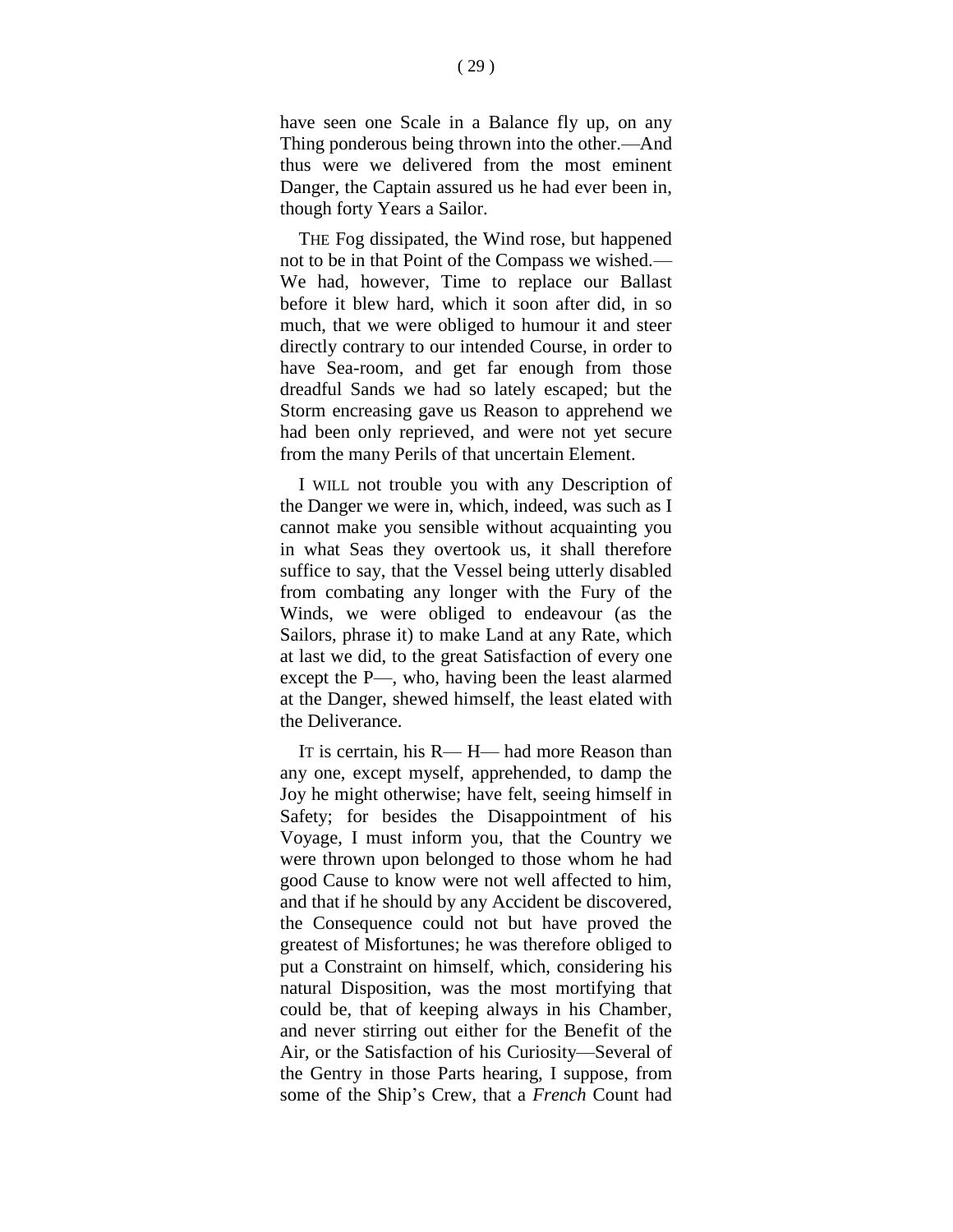have seen one Scale in a Balance fly up, on any Thing ponderous being thrown into the other.—And thus were we delivered from the most eminent Danger, the Captain assured us he had ever been in, though forty Years a Sailor.

THE Fog dissipated, the Wind rose, but happened not to be in that Point of the Compass we wished.— We had, however, Time to replace our Ballast before it blew hard, which it soon after did, in so much, that we were obliged to humour it and steer directly contrary to our intended Course, in order to have Sea-room, and get far enough from those dreadful Sands we had so lately escaped; but the Storm encreasing gave us Reason to apprehend we had been only reprieved, and were not yet secure from the many Perils of that uncertain Element.

I WILL not trouble you with any Description of the Danger we were in, which, indeed, was such as I cannot make you sensible without acquainting you in what Seas they overtook us, it shall therefore suffice to say, that the Vessel being utterly disabled from combating any longer with the Fury of the Winds, we were obliged to endeavour (as the Sailors, phrase it) to make Land at any Rate, which at last we did, to the great Satisfaction of every one except the P—, who, having been the least alarmed at the Danger, shewed himself, the least elated with the Deliverance.

IT is cerrtain, his R— H— had more Reason than any one, except myself, apprehended, to damp the Joy he might otherwise; have felt, seeing himself in Safety; for besides the Disappointment of his Voyage, I must inform you, that the Country we were thrown upon belonged to those whom he had good Cause to know were not well affected to him, and that if he should by any Accident be discovered, the Consequence could not but have proved the greatest of Misfortunes; he was therefore obliged to put a Constraint on himself, which, considering his natural Disposition, was the most mortifying that could be, that of keeping always in his Chamber, and never stirring out either for the Benefit of the Air, or the Satisfaction of his Curiosity—Several of the Gentry in those Parts hearing, I suppose, from some of the Ship's Crew, that a *French* Count had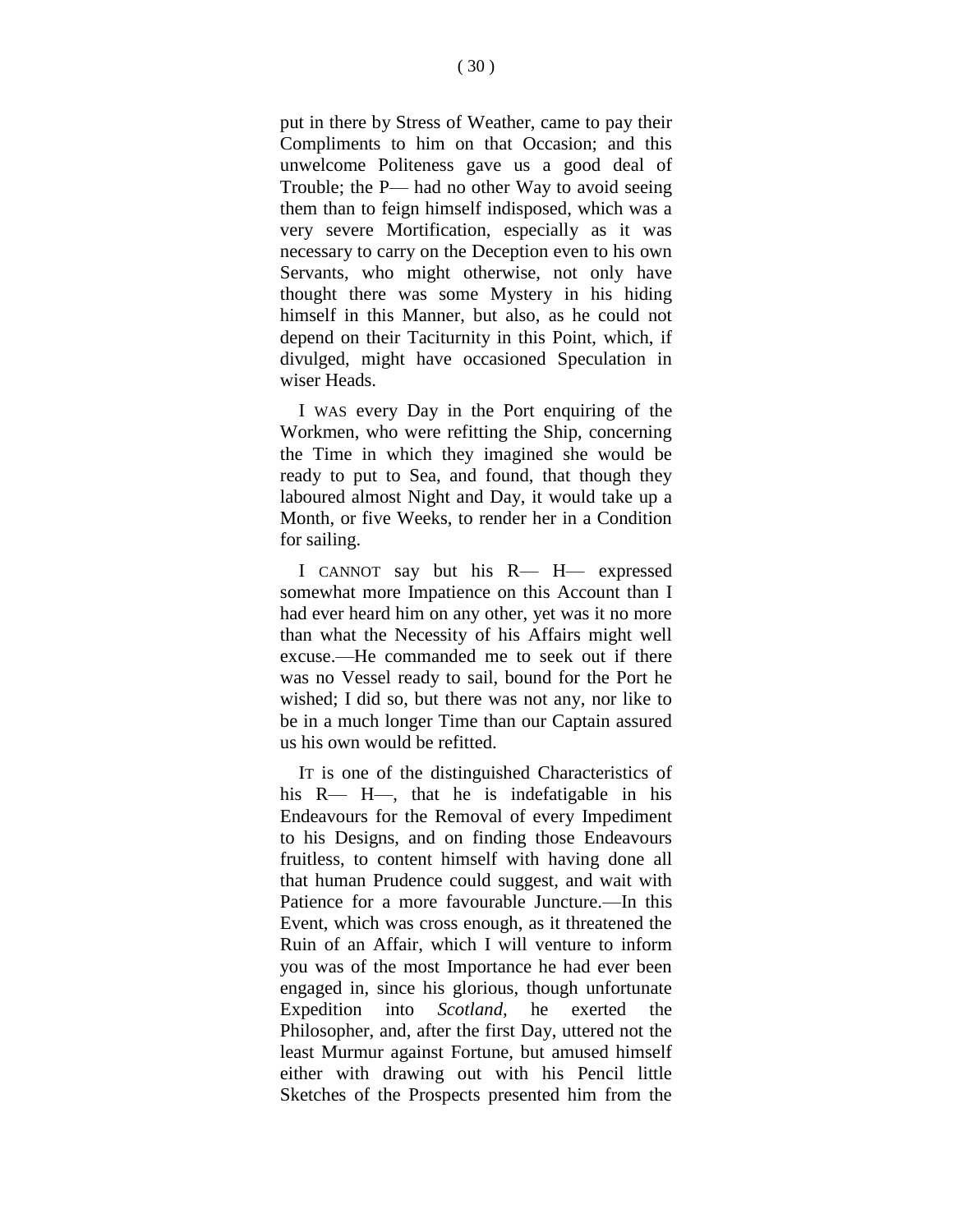put in there by Stress of Weather, came to pay their Compliments to him on that Occasion; and this unwelcome Politeness gave us a good deal of Trouble; the P— had no other Way to avoid seeing them than to feign himself indisposed, which was a very severe Mortification, especially as it was necessary to carry on the Deception even to his own Servants, who might otherwise, not only have thought there was some Mystery in his hiding himself in this Manner, but also, as he could not depend on their Taciturnity in this Point, which, if divulged, might have occasioned Speculation in wiser Heads.

I WAS every Day in the Port enquiring of the Workmen, who were refitting the Ship, concerning the Time in which they imagined she would be ready to put to Sea, and found, that though they laboured almost Night and Day, it would take up a Month, or five Weeks, to render her in a Condition for sailing.

I CANNOT say but his R— H— expressed somewhat more Impatience on this Account than I had ever heard him on any other, yet was it no more than what the Necessity of his Affairs might well excuse.—He commanded me to seek out if there was no Vessel ready to sail, bound for the Port he wished; I did so, but there was not any, nor like to be in a much longer Time than our Captain assured us his own would be refitted.

IT is one of the distinguished Characteristics of his R— H—, that he is indefatigable in his Endeavours for the Removal of every Impediment to his Designs, and on finding those Endeavours fruitless, to content himself with having done all that human Prudence could suggest, and wait with Patience for a more favourable Juncture.—In this Event, which was cross enough, as it threatened the Ruin of an Affair, which I will venture to inform you was of the most Importance he had ever been engaged in, since his glorious, though unfortunate Expedition into *Scotland,* he exerted the Philosopher, and, after the first Day, uttered not the least Murmur against Fortune, but amused himself either with drawing out with his Pencil little Sketches of the Prospects presented him from the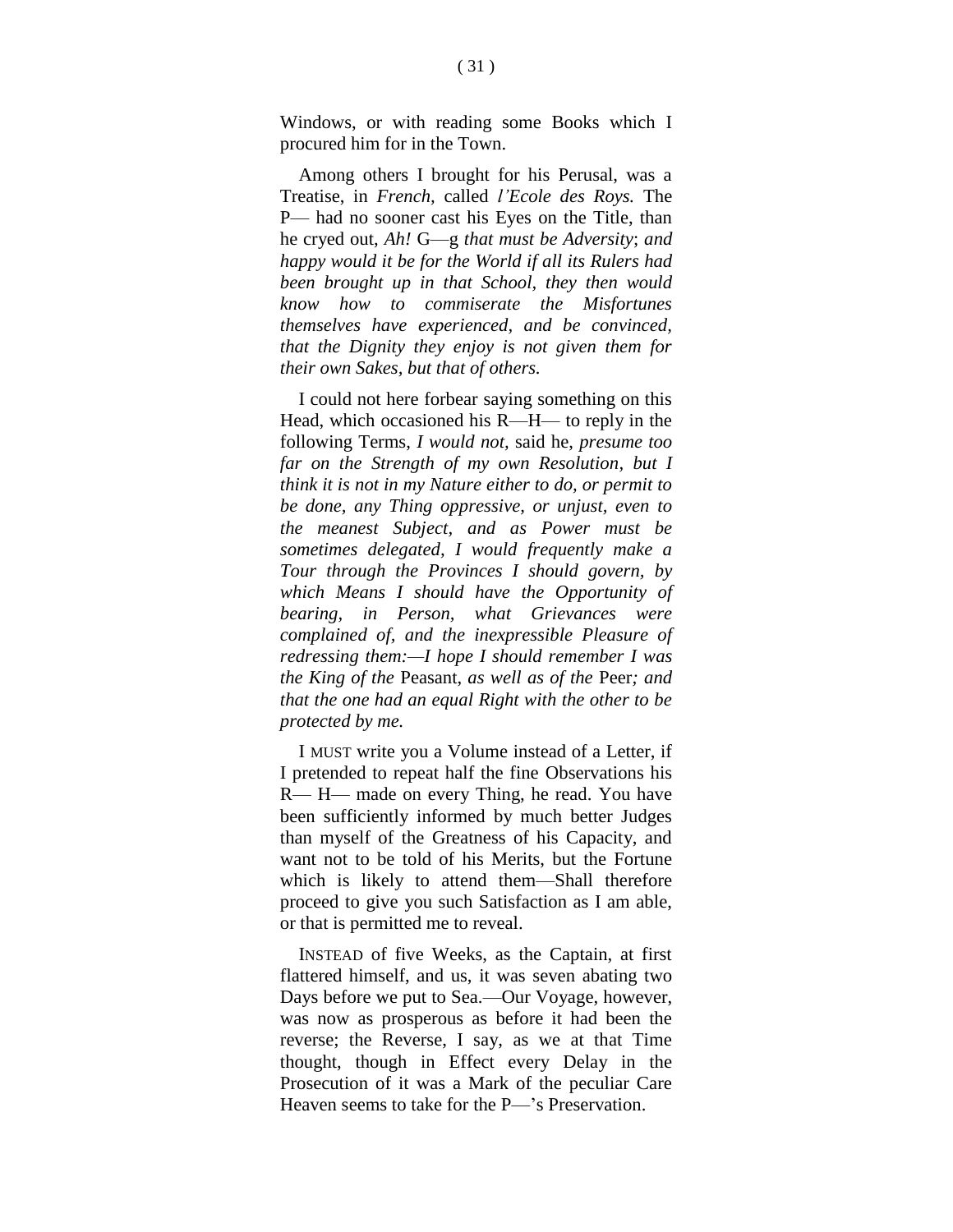Windows, or with reading some Books which I procured him for in the Town.

Among others I brought for his Perusal, was a Treatise, in *French,* called *l'Ecole des Roys.* The P— had no sooner cast his Eyes on the Title, than he cryed out, *Ah!* G—g *that must be Adversity*; *and happy would it be for the World if all its Rulers had been brought up in that School, they then would know how to commiserate the Misfortunes themselves have experienced, and be convinced, that the Dignity they enjoy is not given them for their own Sakes, but that of others.*

I could not here forbear saying something on this Head, which occasioned his R—H— to reply in the following Terms, *I would not,* said he, *presume too far on the Strength of my own Resolution, but I think it is not in my Nature either to do, or permit to be done, any Thing oppressive, or unjust, even to the meanest Subject, and as Power must be sometimes delegated, I would frequently make a Tour through the Provinces I should govern, by which Means I should have the Opportunity of bearing, in Person, what Grievances were complained of, and the inexpressible Pleasure of redressing them:—I hope I should remember I was the King of the* Peasant, *as well as of the* Peer*; and that the one had an equal Right with the other to be protected by me.*

I MUST write you a Volume instead of a Letter, if I pretended to repeat half the fine Observations his R— H— made on every Thing, he read. You have been sufficiently informed by much better Judges than myself of the Greatness of his Capacity, and want not to be told of his Merits, but the Fortune which is likely to attend them—Shall therefore proceed to give you such Satisfaction as I am able, or that is permitted me to reveal.

INSTEAD of five Weeks, as the Captain, at first flattered himself, and us, it was seven abating two Days before we put to Sea.—Our Voyage, however, was now as prosperous as before it had been the reverse; the Reverse, I say, as we at that Time thought, though in Effect every Delay in the Prosecution of it was a Mark of the peculiar Care Heaven seems to take for the P—'s Preservation.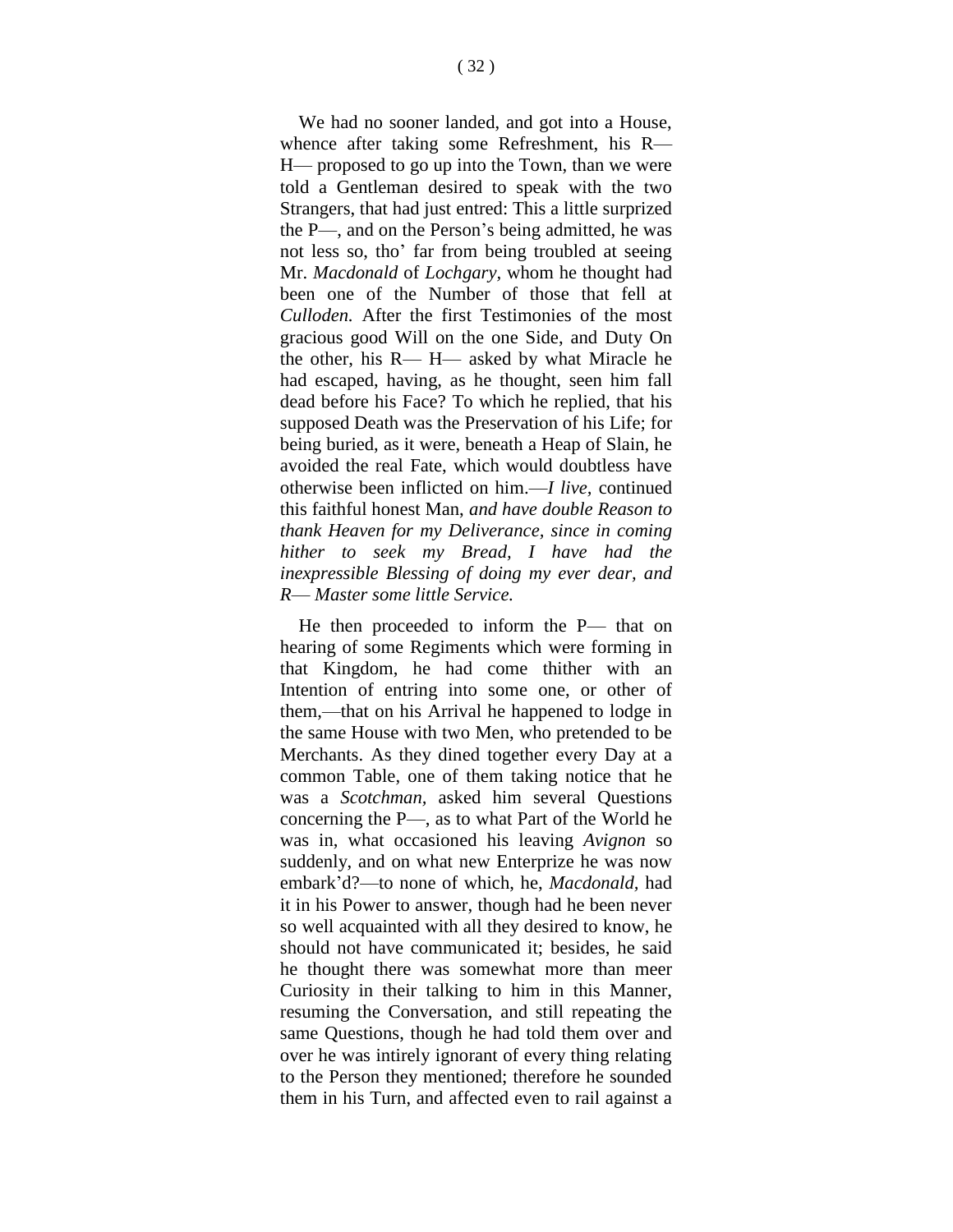We had no sooner landed, and got into a House, whence after taking some Refreshment, his R— H— proposed to go up into the Town, than we were told a Gentleman desired to speak with the two Strangers, that had just entred: This a little surprized the P—, and on the Person's being admitted, he was not less so, tho' far from being troubled at seeing Mr. *Macdonald* of *Lochgary,* whom he thought had been one of the Number of those that fell at *Culloden.* After the first Testimonies of the most gracious good Will on the one Side, and Duty On the other, his R— H— asked by what Miracle he had escaped, having, as he thought, seen him fall dead before his Face? To which he replied, that his supposed Death was the Preservation of his Life; for being buried, as it were, beneath a Heap of Slain, he avoided the real Fate, which would doubtless have otherwise been inflicted on him.—*I live,* continued this faithful honest Man, *and have double Reason to thank Heaven for my Deliverance, since in coming hither to seek my Bread, I have had the inexpressible Blessing of doing my ever dear, and R*— *Master some little Service.*

He then proceeded to inform the P— that on hearing of some Regiments which were forming in that Kingdom, he had come thither with an Intention of entring into some one, or other of them,—that on his Arrival he happened to lodge in the same House with two Men, who pretended to be Merchants. As they dined together every Day at a common Table, one of them taking notice that he was a *Scotchman,* asked him several Questions concerning the P—, as to what Part of the World he was in, what occasioned his leaving *Avignon* so suddenly, and on what new Enterprize he was now embark'd?—to none of which, he, *Macdonald,* had it in his Power to answer, though had he been never so well acquainted with all they desired to know, he should not have communicated it; besides, he said he thought there was somewhat more than meer Curiosity in their talking to him in this Manner, resuming the Conversation, and still repeating the same Questions, though he had told them over and over he was intirely ignorant of every thing relating to the Person they mentioned; therefore he sounded them in his Turn, and affected even to rail against a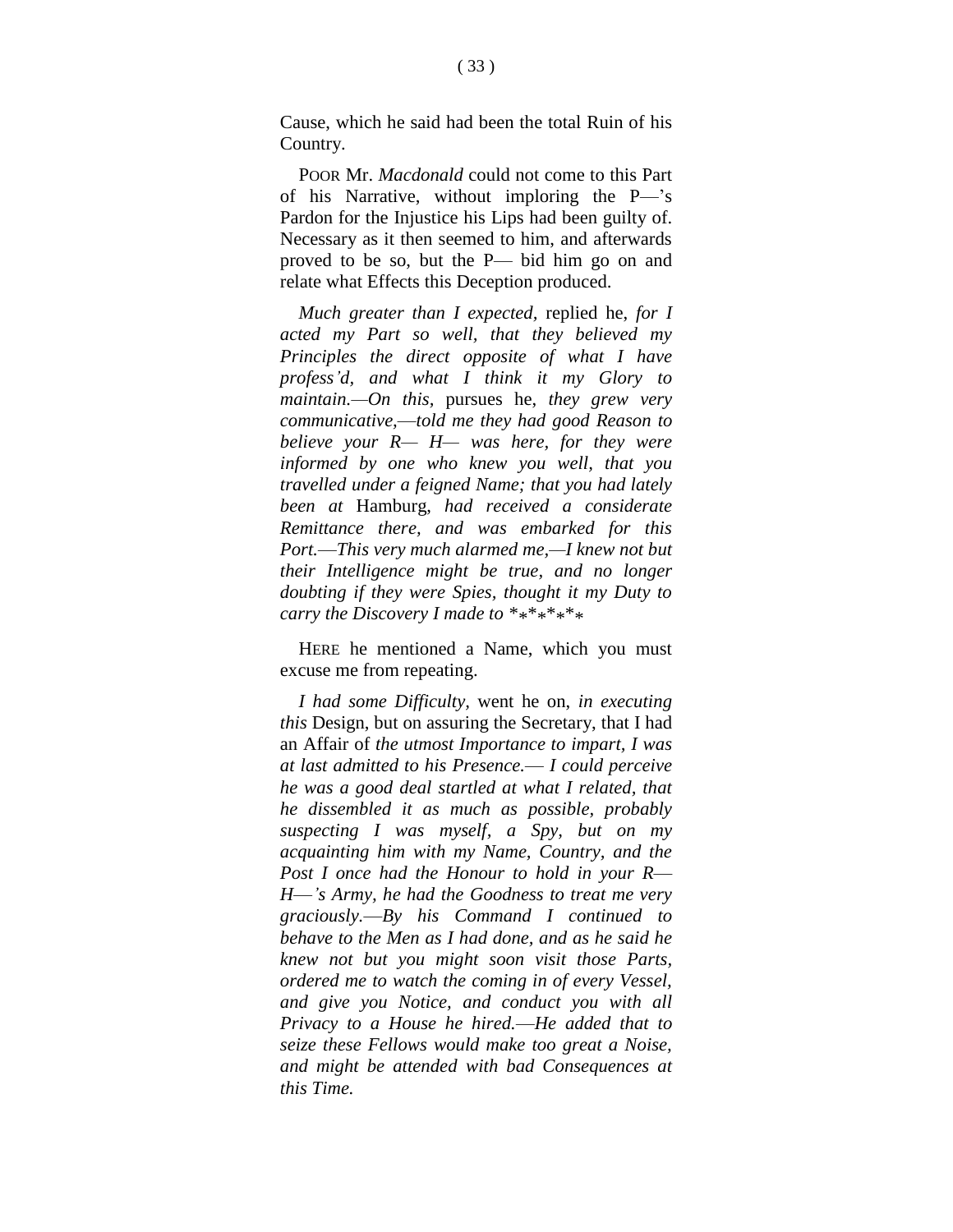Cause, which he said had been the total Ruin of his Country.

POOR Mr. *Macdonald* could not come to this Part of his Narrative, without imploring the P—'s Pardon for the Injustice his Lips had been guilty of. Necessary as it then seemed to him, and afterwards proved to be so, but the P— bid him go on and relate what Effects this Deception produced.

*Much greater than I expected,* replied he, *for I acted my Part so well, that they believed my Principles the direct opposite of what I have profess'd, and what I think it my Glory to maintain.—On this,* pursues he, *they grew very communicative,*—*told me they had good Reason to believe your R— H— was here, for they were informed by one who knew you well, that you travelled under a feigned Name; that you had lately been at* Hamburg, *had received a considerate Remittance there, and was embarked for this Port.*—*This very much alarmed me,—I knew not but their Intelligence might be true, and no longer doubting if they were Spies, thought it my Duty to carry the Discovery I made to \*\*\*\*\*\*\*\**

HERE he mentioned a Name, which you must excuse me from repeating.

*I had some Difficulty,* went he on, *in executing this* Design, but on assuring the Secretary, that I had an Affair of *the utmost Importance to impart, I was at last admitted to his Presence.*— *I could perceive he was a good deal startled at what I related, that he dissembled it as much as possible, probably suspecting I was myself, a Spy, but on my acquainting him with my Name, Country, and the Post I once had the Honour to hold in your R*— *H*—*'s Army, he had the Goodness to treat me very graciously.*—*By his Command I continued to behave to the Men as I had done, and as he said he knew not but you might soon visit those Parts, ordered me to watch the coming in of every Vessel, and give you Notice, and conduct you with all Privacy to a House he hired.*—*He added that to seize these Fellows would make too great a Noise, and might be attended with bad Consequences at this Time.*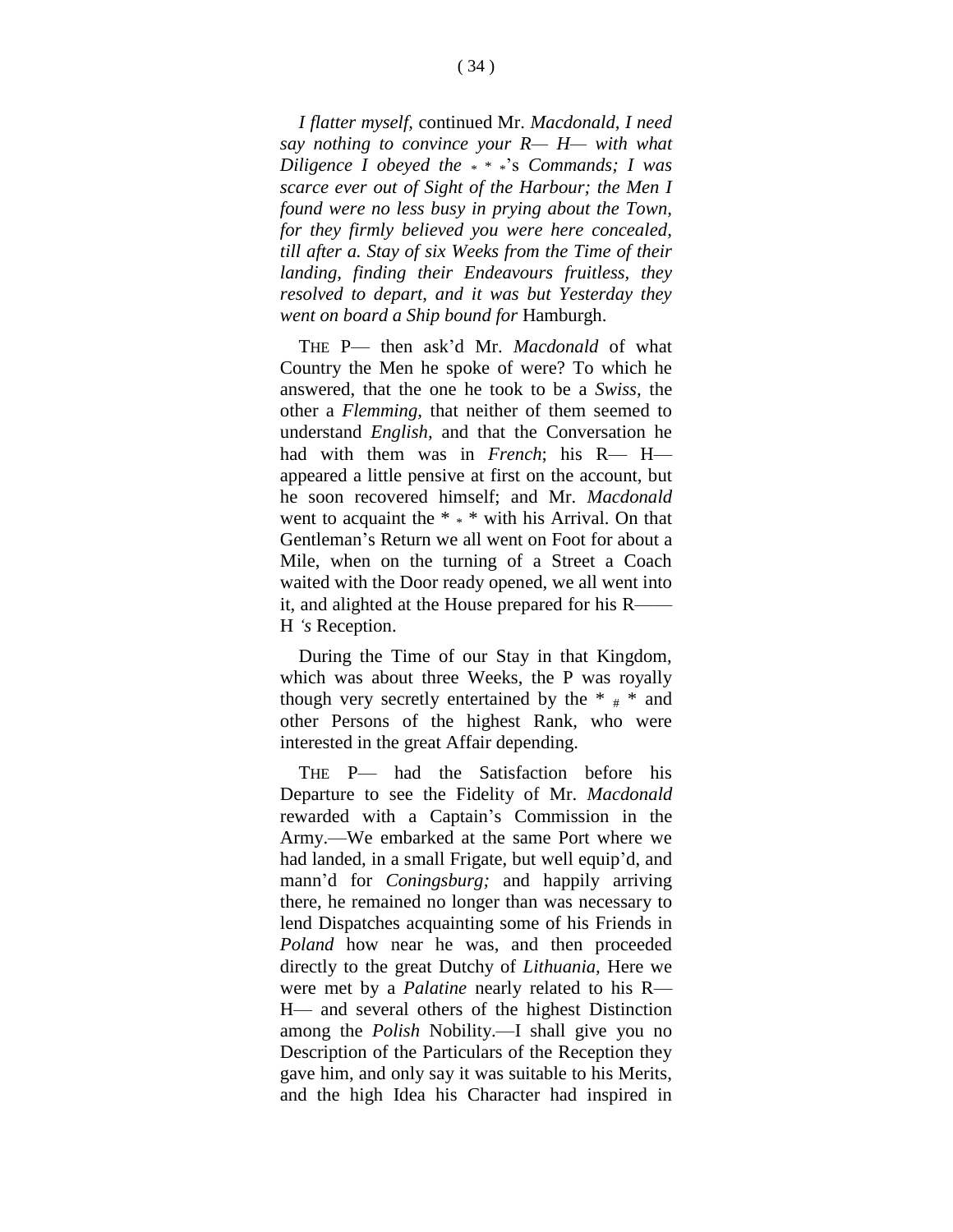*I flatter myself,* continued Mr. *Macdonald, I need say nothing to convince your R— H— with what Diligence I obeyed the* \* \* \*'s *Commands; I was scarce ever out of Sight of the Harbour; the Men I found were no less busy in prying about the Town, for they firmly believed you were here concealed, till after a. Stay of six Weeks from the Time of their landing, finding their Endeavours fruitless, they resolved to depart, and it was but Yesterday they went on board a Ship bound for* Hamburgh.

THE P— then ask'd Mr. *Macdonald* of what Country the Men he spoke of were? To which he answered, that the one he took to be a *Swiss,* the other a *Flemming,* that neither of them seemed to understand *English,* and that the Conversation he had with them was in *French*; his R— H appeared a little pensive at first on the account, but he soon recovered himself; and Mr. *Macdonald*  went to acquaint the  $*$   $*$   $*$  with his Arrival. On that Gentleman's Return we all went on Foot for about a Mile, when on the turning of a Street a Coach waited with the Door ready opened, we all went into it, and alighted at the House prepared for his R—— H *'s* Reception.

During the Time of our Stay in that Kingdom, which was about three Weeks, the P was royally though very secretly entertained by the  $*$   $*$  and other Persons of the highest Rank, who were interested in the great Affair depending.

THE P— had the Satisfaction before his Departure to see the Fidelity of Mr. *Macdonald*  rewarded with a Captain's Commission in the Army.—We embarked at the same Port where we had landed, in a small Frigate, but well equip'd, and mann'd for *Coningsburg;* and happily arriving there, he remained no longer than was necessary to lend Dispatches acquainting some of his Friends in *Poland* how near he was, and then proceeded directly to the great Dutchy of *Lithuania,* Here we were met by a *Palatine* nearly related to his R— H— and several others of the highest Distinction among the *Polish* Nobility.—I shall give you no Description of the Particulars of the Reception they gave him, and only say it was suitable to his Merits, and the high Idea his Character had inspired in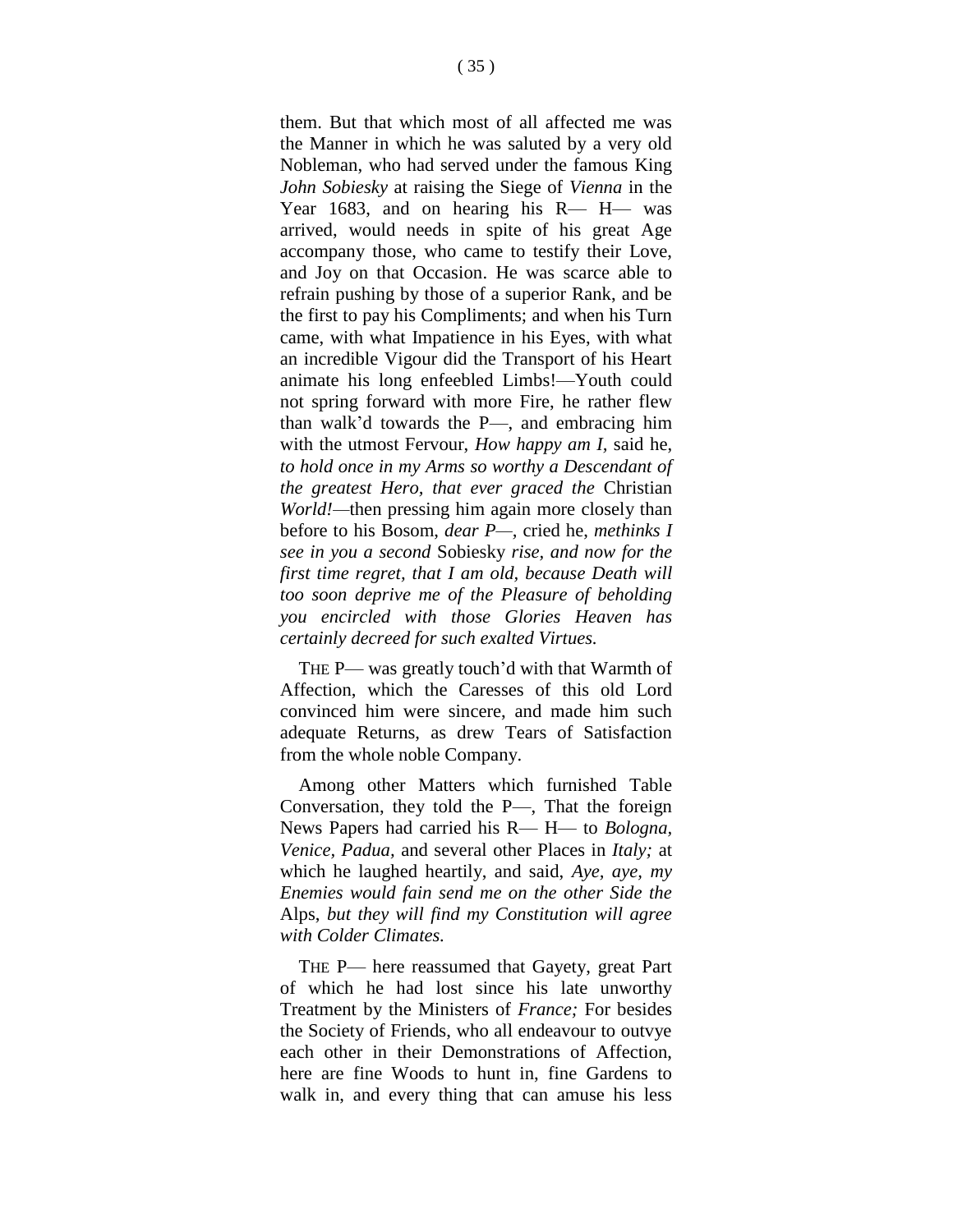them. But that which most of all affected me was the Manner in which he was saluted by a very old Nobleman, who had served under the famous King *John Sobiesky* at raising the Siege of *Vienna* in the Year 1683, and on hearing his R— H— was arrived, would needs in spite of his great Age accompany those, who came to testify their Love, and Joy on that Occasion. He was scarce able to refrain pushing by those of a superior Rank, and be the first to pay his Compliments; and when his Turn came, with what Impatience in his Eyes, with what an incredible Vigour did the Transport of his Heart animate his long enfeebled Limbs!—Youth could not spring forward with more Fire, he rather flew than walk'd towards the P—, and embracing him with the utmost Fervour, *How happy am I,* said he, *to hold once in my Arms so worthy a Descendant of the greatest Hero, that ever graced the* Christian *World!—*then pressing him again more closely than before to his Bosom, *dear P—,* cried he, *methinks I see in you a second* Sobiesky *rise, and now for the first time regret, that I am old, because Death will too soon deprive me of the Pleasure of beholding you encircled with those Glories Heaven has certainly decreed for such exalted Virtues.*

THE P— was greatly touch'd with that Warmth of Affection, which the Caresses of this old Lord convinced him were sincere, and made him such adequate Returns, as drew Tears of Satisfaction from the whole noble Company.

Among other Matters which furnished Table Conversation, they told the P—, That the foreign News Papers had carried his R— H— to *Bologna, Venice, Padua,* and several other Places in *Italy;* at which he laughed heartily, and said, *Aye, aye, my Enemies would fain send me on the other Side the*  Alps, *but they will find my Constitution will agree with Colder Climates.*

THE P— here reassumed that Gayety, great Part of which he had lost since his late unworthy Treatment by the Ministers of *France;* For besides the Society of Friends, who all endeavour to outvye each other in their Demonstrations of Affection, here are fine Woods to hunt in, fine Gardens to walk in, and every thing that can amuse his less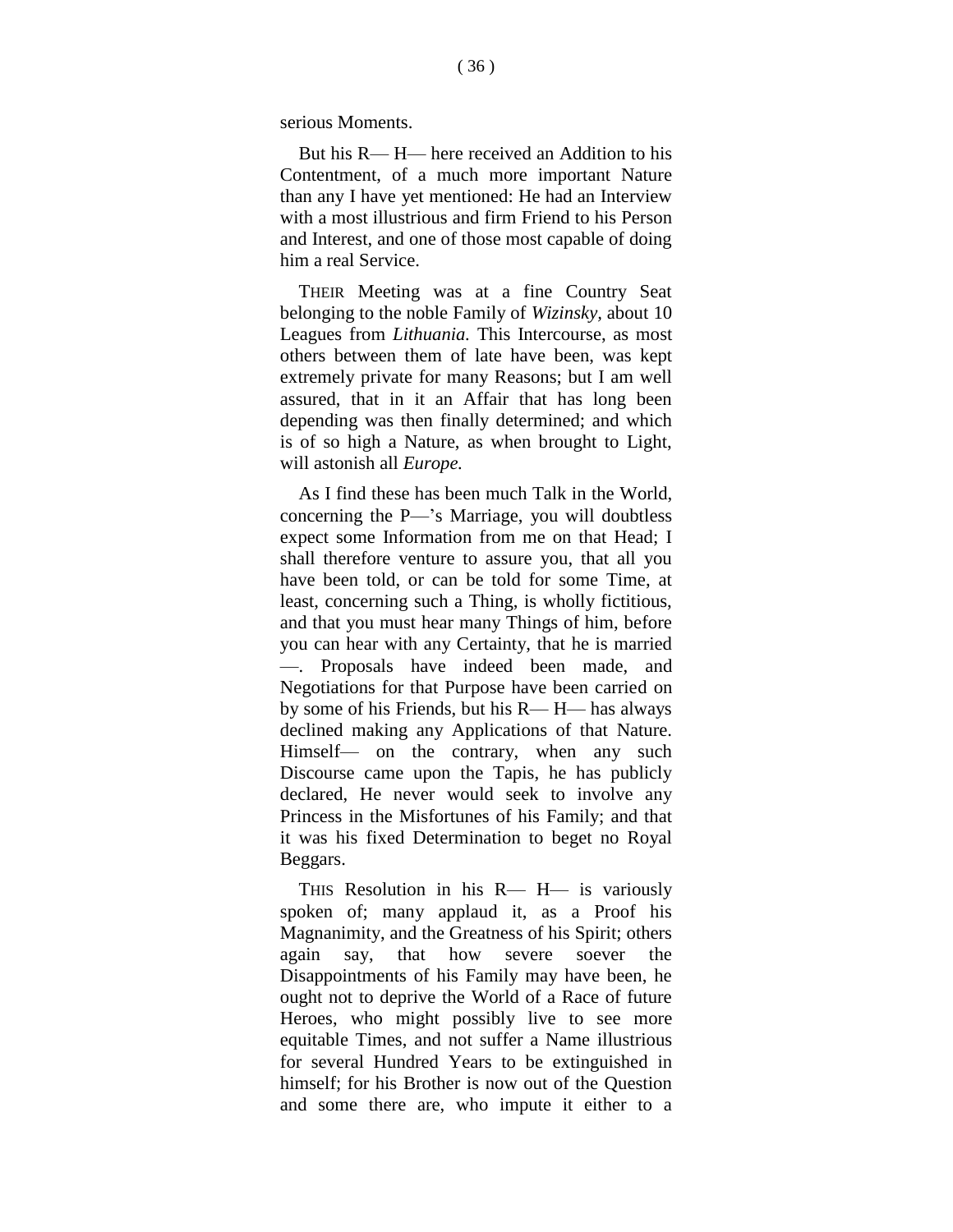serious Moments.

But his R— H— here received an Addition to his Contentment, of a much more important Nature than any I have yet mentioned: He had an Interview with a most illustrious and firm Friend to his Person and Interest, and one of those most capable of doing him a real Service.

THEIR Meeting was at a fine Country Seat belonging to the noble Family of *Wizinsky,* about 10 Leagues from *Lithuania.* This Intercourse, as most others between them of late have been, was kept extremely private for many Reasons; but I am well assured, that in it an Affair that has long been depending was then finally determined; and which is of so high a Nature, as when brought to Light, will astonish all *Europe.*

As I find these has been much Talk in the World, concerning the P—'s Marriage, you will doubtless expect some Information from me on that Head; I shall therefore venture to assure you, that all you have been told, or can be told for some Time, at least, concerning such a Thing, is wholly fictitious, and that you must hear many Things of him, before you can hear with any Certainty, that he is married —. Proposals have indeed been made, and Negotiations for that Purpose have been carried on by some of his Friends, but his R— H— has always declined making any Applications of that Nature. Himself— on the contrary, when any such Discourse came upon the Tapis, he has publicly declared, He never would seek to involve any Princess in the Misfortunes of his Family; and that it was his fixed Determination to beget no Royal Beggars.

THIS Resolution in his R— H— is variously spoken of; many applaud it, as a Proof his Magnanimity, and the Greatness of his Spirit; others again say, that how severe soever the Disappointments of his Family may have been, he ought not to deprive the World of a Race of future Heroes, who might possibly live to see more equitable Times, and not suffer a Name illustrious for several Hundred Years to be extinguished in himself; for his Brother is now out of the Question and some there are, who impute it either to a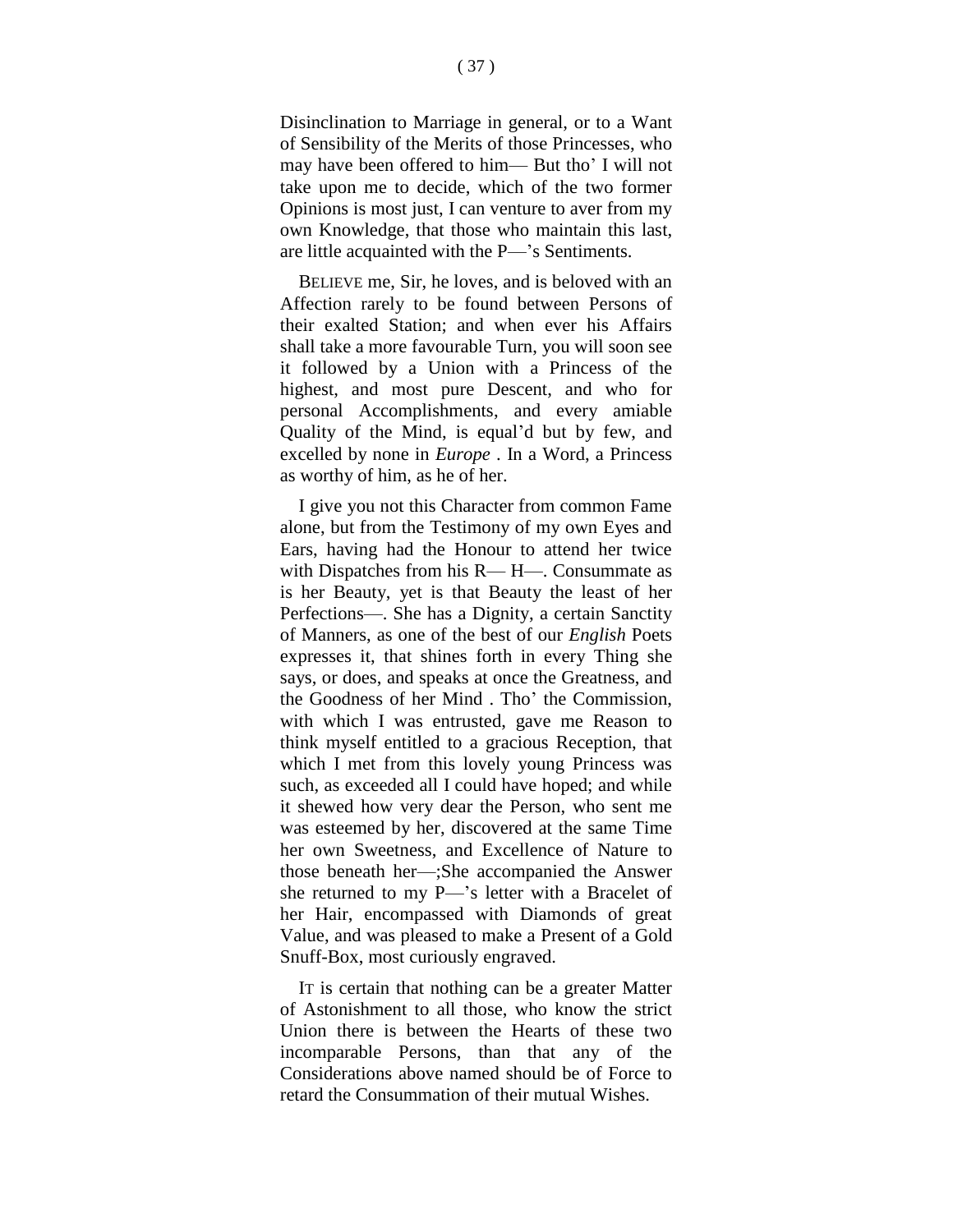Disinclination to Marriage in general, or to a Want of Sensibility of the Merits of those Princesses, who may have been offered to him— But tho' I will not take upon me to decide, which of the two former Opinions is most just, I can venture to aver from my own Knowledge, that those who maintain this last, are little acquainted with the P—'s Sentiments.

BELIEVE me, Sir, he loves, and is beloved with an Affection rarely to be found between Persons of their exalted Station; and when ever his Affairs shall take a more favourable Turn, you will soon see it followed by a Union with a Princess of the highest, and most pure Descent, and who for personal Accomplishments, and every amiable Quality of the Mind, is equal'd but by few, and excelled by none in *Europe* . In a Word, a Princess as worthy of him, as he of her.

I give you not this Character from common Fame alone, but from the Testimony of my own Eyes and Ears, having had the Honour to attend her twice with Dispatches from his R— H—. Consummate as is her Beauty, yet is that Beauty the least of her Perfections—. She has a Dignity, a certain Sanctity of Manners, as one of the best of our *English* Poets expresses it, that shines forth in every Thing she says, or does, and speaks at once the Greatness, and the Goodness of her Mind . Tho' the Commission, with which I was entrusted, gave me Reason to think myself entitled to a gracious Reception, that which I met from this lovely young Princess was such, as exceeded all I could have hoped; and while it shewed how very dear the Person, who sent me was esteemed by her, discovered at the same Time her own Sweetness, and Excellence of Nature to those beneath her—;She accompanied the Answer she returned to my P—'s letter with a Bracelet of her Hair, encompassed with Diamonds of great Value, and was pleased to make a Present of a Gold Snuff-Box, most curiously engraved.

IT is certain that nothing can be a greater Matter of Astonishment to all those, who know the strict Union there is between the Hearts of these two incomparable Persons, than that any of the Considerations above named should be of Force to retard the Consummation of their mutual Wishes.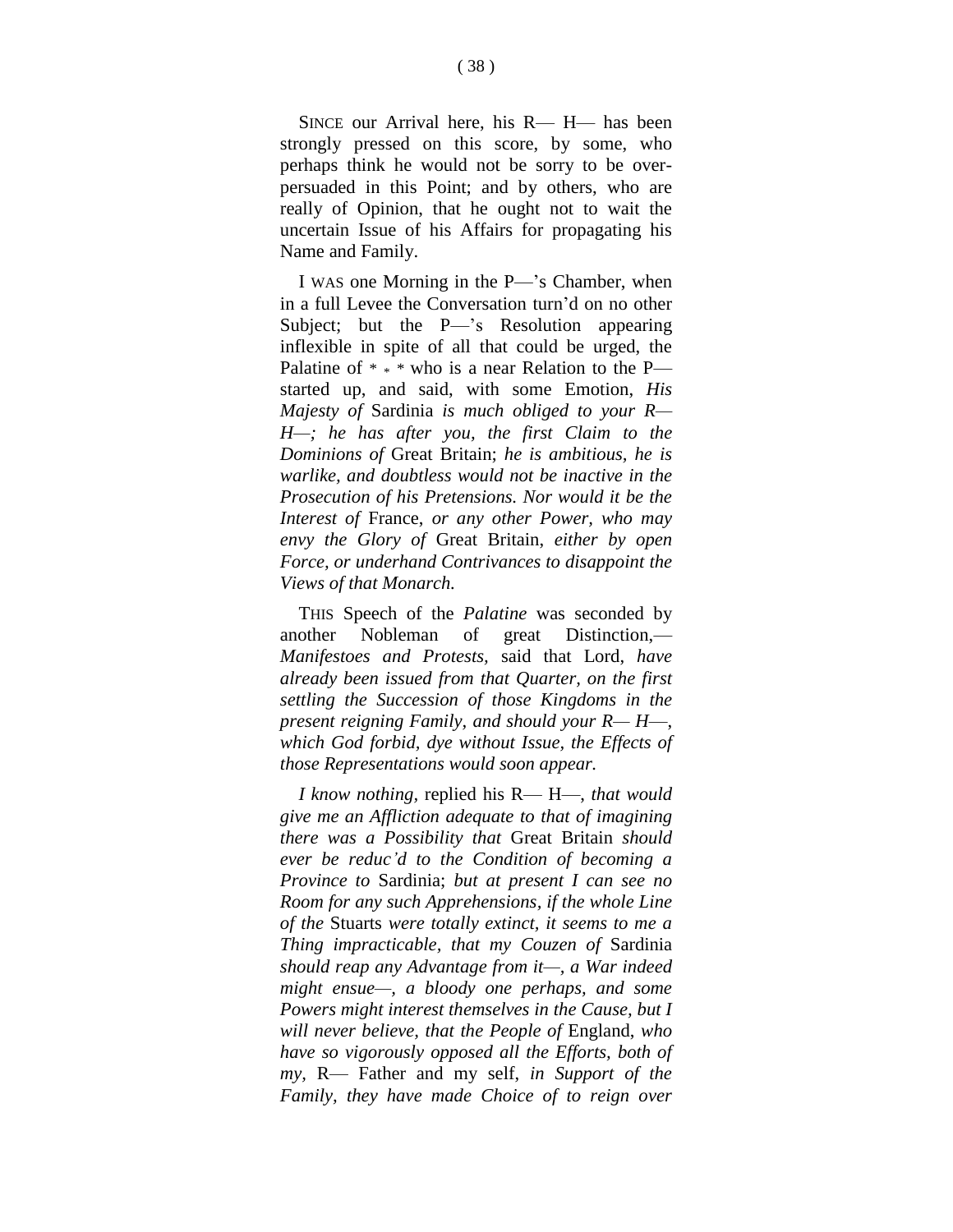SINCE our Arrival here, his R— H— has been strongly pressed on this score, by some, who perhaps think he would not be sorry to be overpersuaded in this Point; and by others, who are really of Opinion, that he ought not to wait the uncertain Issue of his Affairs for propagating his Name and Family.

I WAS one Morning in the P—'s Chamber, when in a full Levee the Conversation turn'd on no other Subject; but the P—'s Resolution appearing inflexible in spite of all that could be urged, the Palatine of  $* * *$  who is a near Relation to the P started up, and said, with some Emotion, *His Majesty of* Sardinia *is much obliged to your R— H—; he has after you, the first Claim to the Dominions of* Great Britain; *he is ambitious, he is warlike, and doubtless would not be inactive in the Prosecution of his Pretensions. Nor would it be the Interest of* France, *or any other Power, who may envy the Glory of* Great Britain, *either by open Force, or underhand Contrivances to disappoint the Views of that Monarch.*

THIS Speech of the *Palatine* was seconded by another Nobleman of great Distinction,— *Manifestoes and Protests,* said that Lord, *have already been issued from that Quarter, on the first settling the Succession of those Kingdoms in the present reigning Family, and should your R— H*—, *which God forbid, dye without Issue, the Effects of those Representations would soon appear.*

*I know nothing,* replied his R— H—, *that would give me an Affliction adequate to that of imagining there was a Possibility that* Great Britain *should ever be reduc'd to the Condition of becoming a Province to* Sardinia; *but at present I can see no Room for any such Apprehensions, if the whole Line of the* Stuarts *were totally extinct, it seems to me a Thing impracticable, that my Couzen of* Sardinia *should reap any Advantage from it—, a War indeed might ensue—, a bloody one perhaps, and some Powers might interest themselves in the Cause, but I will never believe, that the People of* England, *who have so vigorously opposed all the Efforts, both of my,* R— Father and my self, *in Support of the Family, they have made Choice of to reign over*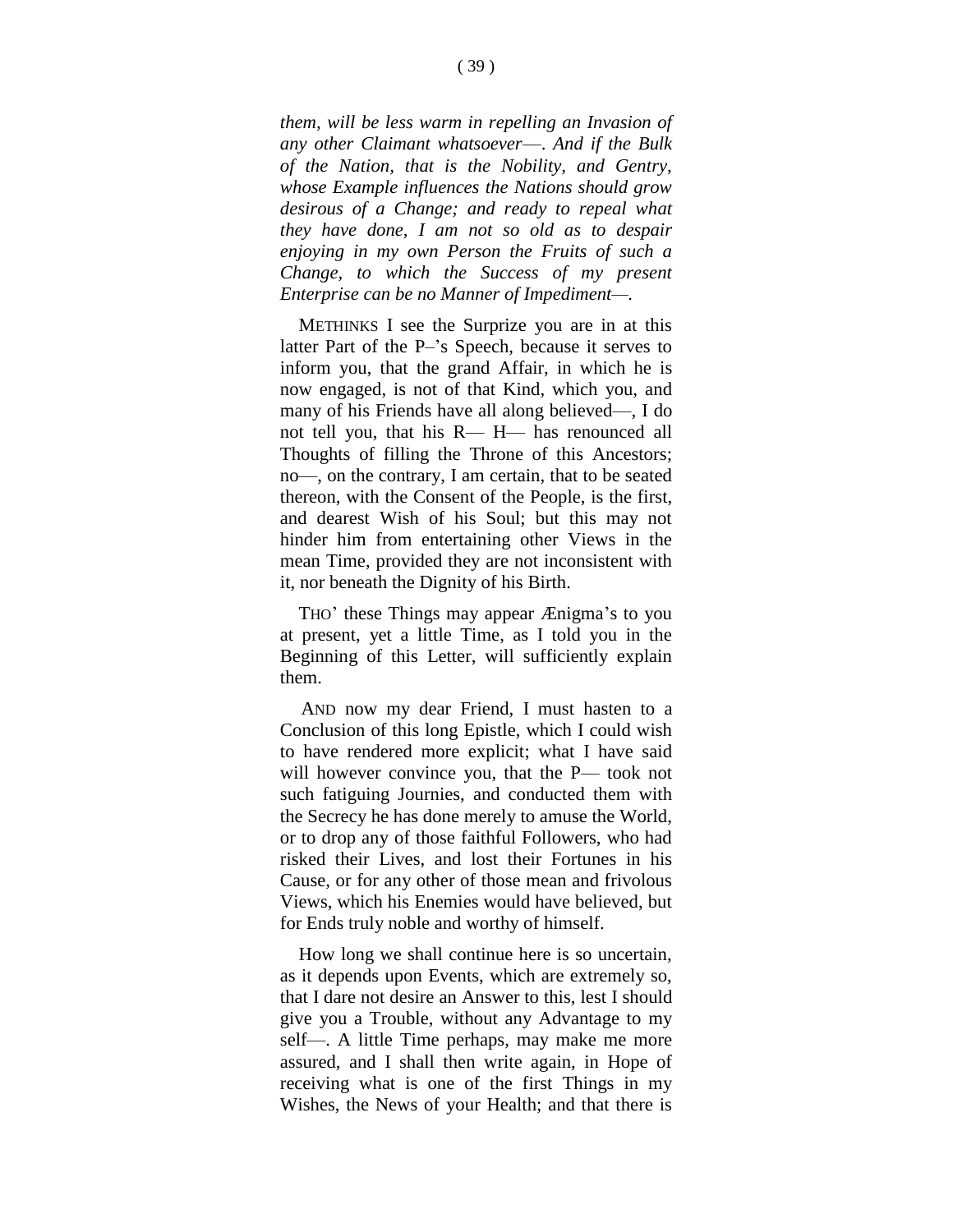*them, will be less warm in repelling an Invasion of any other Claimant whatsoever*—. *And if the Bulk of the Nation, that is the Nobility, and Gentry, whose Example influences the Nations should grow desirous of a Change; and ready to repeal what they have done, I am not so old as to despair enjoying in my own Person the Fruits of such a Change, to which the Success of my present Enterprise can be no Manner of Impediment—.*

METHINKS I see the Surprize you are in at this latter Part of the P–'s Speech, because it serves to inform you, that the grand Affair, in which he is now engaged, is not of that Kind, which you, and many of his Friends have all along believed—, I do not tell you, that his R— H— has renounced all Thoughts of filling the Throne of this Ancestors; no—, on the contrary, I am certain, that to be seated thereon, with the Consent of the People, is the first, and dearest Wish of his Soul; but this may not hinder him from entertaining other Views in the mean Time, provided they are not inconsistent with it, nor beneath the Dignity of his Birth.

THO' these Things may appear Ænigma's to you at present, yet a little Time, as I told you in the Beginning of this Letter, will sufficiently explain them.

AND now my dear Friend, I must hasten to a Conclusion of this long Epistle, which I could wish to have rendered more explicit; what I have said will however convince you, that the P— took not such fatiguing Journies, and conducted them with the Secrecy he has done merely to amuse the World, or to drop any of those faithful Followers, who had risked their Lives, and lost their Fortunes in his Cause, or for any other of those mean and frivolous Views, which his Enemies would have believed, but for Ends truly noble and worthy of himself.

How long we shall continue here is so uncertain, as it depends upon Events, which are extremely so, that I dare not desire an Answer to this, lest I should give you a Trouble, without any Advantage to my self—. A little Time perhaps, may make me more assured, and I shall then write again, in Hope of receiving what is one of the first Things in my Wishes, the News of your Health; and that there is